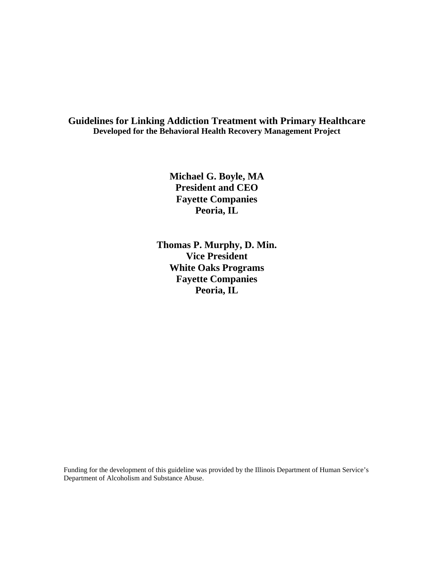#### **Guidelines for Linking Addiction Treatment with Primary Healthcare Developed for the Behavioral Health Recovery Management Project**

**Michael G. Boyle, MA President and CEO Fayette Companies Peoria, IL** 

**Thomas P. Murphy, D. Min. Vice President White Oaks Programs Fayette Companies Peoria, IL** 

Funding for the development of this guideline was provided by the Illinois Department of Human Service's Department of Alcoholism and Substance Abuse.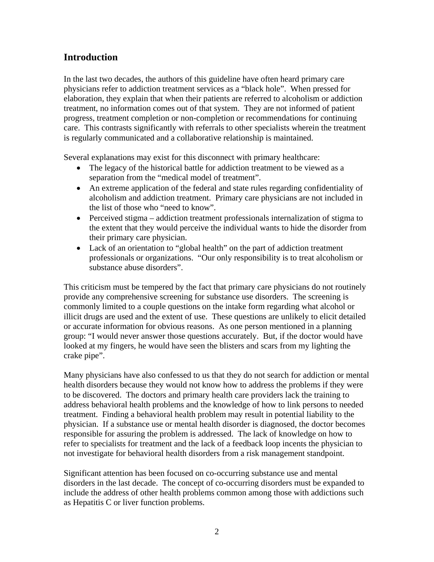## **Introduction**

In the last two decades, the authors of this guideline have often heard primary care physicians refer to addiction treatment services as a "black hole". When pressed for elaboration, they explain that when their patients are referred to alcoholism or addiction treatment, no information comes out of that system. They are not informed of patient progress, treatment completion or non-completion or recommendations for continuing care. This contrasts significantly with referrals to other specialists wherein the treatment is regularly communicated and a collaborative relationship is maintained.

Several explanations may exist for this disconnect with primary healthcare:

- The legacy of the historical battle for addiction treatment to be viewed as a separation from the "medical model of treatment".
- An extreme application of the federal and state rules regarding confidentiality of alcoholism and addiction treatment. Primary care physicians are not included in the list of those who "need to know".
- Perceived stigma addiction treatment professionals internalization of stigma to the extent that they would perceive the individual wants to hide the disorder from their primary care physician.
- Lack of an orientation to "global health" on the part of addiction treatment professionals or organizations. "Our only responsibility is to treat alcoholism or substance abuse disorders".

This criticism must be tempered by the fact that primary care physicians do not routinely provide any comprehensive screening for substance use disorders. The screening is commonly limited to a couple questions on the intake form regarding what alcohol or illicit drugs are used and the extent of use. These questions are unlikely to elicit detailed or accurate information for obvious reasons. As one person mentioned in a planning group: "I would never answer those questions accurately. But, if the doctor would have looked at my fingers, he would have seen the blisters and scars from my lighting the crake pipe".

Many physicians have also confessed to us that they do not search for addiction or mental health disorders because they would not know how to address the problems if they were to be discovered. The doctors and primary health care providers lack the training to address behavioral health problems and the knowledge of how to link persons to needed treatment. Finding a behavioral health problem may result in potential liability to the physician. If a substance use or mental health disorder is diagnosed, the doctor becomes responsible for assuring the problem is addressed. The lack of knowledge on how to refer to specialists for treatment and the lack of a feedback loop incents the physician to not investigate for behavioral health disorders from a risk management standpoint.

Significant attention has been focused on co-occurring substance use and mental disorders in the last decade. The concept of co-occurring disorders must be expanded to include the address of other health problems common among those with addictions such as Hepatitis C or liver function problems.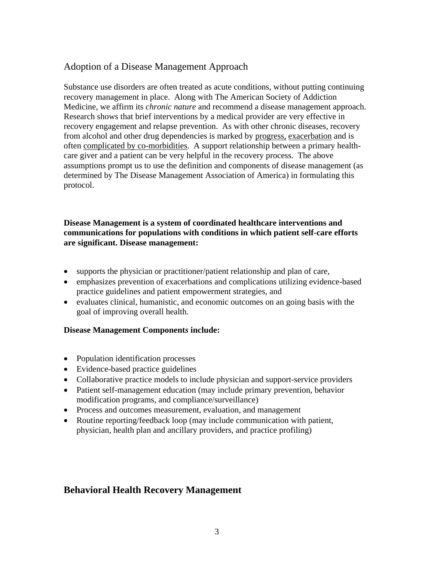## Adoption of a Disease Management Approach

Substance use disorders are often treated as acute conditions, without putting continuing recovery management in place. Along with The American Society of Addiction Medicine, we affirm its *chronic nature* and recommend a disease management approach. Research shows that brief interventions by a medical provider are very effective in recovery engagement and relapse prevention. As with other chronic diseases, recovery from alcohol and other drug dependencies is marked by progress, exacerbation and is often complicated by co-morbidities. A support relationship between a primary healthcare giver and a patient can be very helpful in the recovery process. The above assumptions prompt us to use the definition and components of disease management (as determined by The Disease Management Association of America) in formulating this protocol.

#### **Disease Management is a system of coordinated healthcare interventions and communications for populations with conditions in which patient self-care efforts are significant. Disease management:**

- supports the physician or practitioner/patient relationship and plan of care,
- emphasizes prevention of exacerbations and complications utilizing evidence-based practice guidelines and patient empowerment strategies, and
- evaluates clinical, humanistic, and economic outcomes on an going basis with the goal of improving overall health.

#### **Disease Management Component***s* **include:**

- Population identification processes
- Evidence-based practice guidelines
- Collaborative practice models to include physician and support-service providers
- Patient self-management education (may include primary prevention, behavior modification programs, and compliance/surveillance)
- Process and outcomes measurement, evaluation, and management
- Routine reporting/feedback loop (may include communication with patient, physician, health plan and ancillary providers, and practice profiling)

## **Behavioral Health Recovery Management**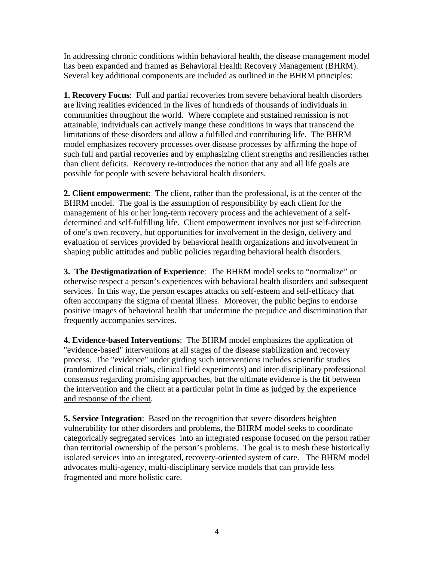In addressing chronic conditions within behavioral health, the disease management model has been expanded and framed as Behavioral Health Recovery Management (BHRM). Several key additional components are included as outlined in the BHRM principles:

**1. Recovery Focus**: Full and partial recoveries from severe behavioral health disorders are living realities evidenced in the lives of hundreds of thousands of individuals in communities throughout the world. Where complete and sustained remission is not attainable, individuals can actively mange these conditions in ways that transcend the limitations of these disorders and allow a fulfilled and contributing life. The BHRM model emphasizes recovery processes over disease processes by affirming the hope of such full and partial recoveries and by emphasizing client strengths and resiliencies rather than client deficits. Recovery re-introduces the notion that any and all life goals are possible for people with severe behavioral health disorders.

**2. Client empowerment**: The client, rather than the professional, is at the center of the BHRM model. The goal is the assumption of responsibility by each client for the management of his or her long-term recovery process and the achievement of a selfdetermined and self-fulfilling life. Client empowerment involves not just self-direction of one's own recovery, but opportunities for involvement in the design, delivery and evaluation of services provided by behavioral health organizations and involvement in shaping public attitudes and public policies regarding behavioral health disorders.

**3. The Destigmatization of Experience**: The BHRM model seeks to "normalize" or otherwise respect a person's experiences with behavioral health disorders and subsequent services. In this way, the person escapes attacks on self-esteem and self-efficacy that often accompany the stigma of mental illness. Moreover, the public begins to endorse positive images of behavioral health that undermine the prejudice and discrimination that frequently accompanies services.

**4. Evidence-based Interventions**: The BHRM model emphasizes the application of "evidence-based" interventions at all stages of the disease stabilization and recovery process. The "evidence" under girding such interventions includes scientific studies (randomized clinical trials, clinical field experiments) and inter-disciplinary professional consensus regarding promising approaches, but the ultimate evidence is the fit between the intervention and the client at a particular point in time as judged by the experience and response of the client.

**5. Service Integration**: Based on the recognition that severe disorders heighten vulnerability for other disorders and problems, the BHRM model seeks to coordinate categorically segregated services into an integrated response focused on the person rather than territorial ownership of the person's problems. The goal is to mesh these historically isolated services into an integrated, recovery-oriented system of care. The BHRM model advocates multi-agency, multi-disciplinary service models that can provide less fragmented and more holistic care.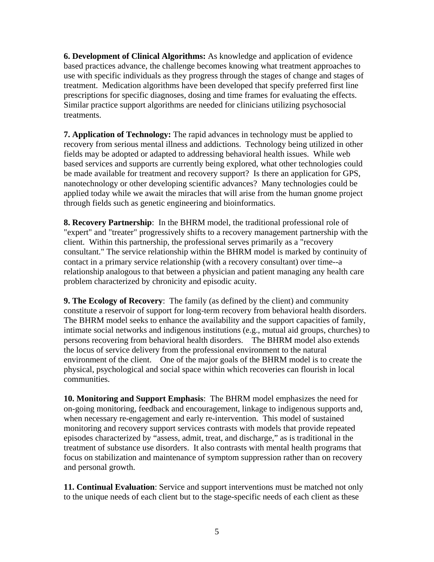**6. Development of Clinical Algorithms:** As knowledge and application of evidence based practices advance, the challenge becomes knowing what treatment approaches to use with specific individuals as they progress through the stages of change and stages of treatment. Medication algorithms have been developed that specify preferred first line prescriptions for specific diagnoses, dosing and time frames for evaluating the effects. Similar practice support algorithms are needed for clinicians utilizing psychosocial treatments.

**7. Application of Technology:** The rapid advances in technology must be applied to recovery from serious mental illness and addictions. Technology being utilized in other fields may be adopted or adapted to addressing behavioral health issues. While web based services and supports are currently being explored, what other technologies could be made available for treatment and recovery support? Is there an application for GPS, nanotechnology or other developing scientific advances? Many technologies could be applied today while we await the miracles that will arise from the human gnome project through fields such as genetic engineering and bioinformatics.

**8. Recovery Partnership**: In the BHRM model, the traditional professional role of "expert" and "treater" progressively shifts to a recovery management partnership with the client. Within this partnership, the professional serves primarily as a "recovery consultant." The service relationship within the BHRM model is marked by continuity of contact in a primary service relationship (with a recovery consultant) over time--a relationship analogous to that between a physician and patient managing any health care problem characterized by chronicity and episodic acuity.

**9. The Ecology of Recovery**: The family (as defined by the client) and community constitute a reservoir of support for long-term recovery from behavioral health disorders. The BHRM model seeks to enhance the availability and the support capacities of family, intimate social networks and indigenous institutions (e.g., mutual aid groups, churches) to persons recovering from behavioral health disorders. The BHRM model also extends the locus of service delivery from the professional environment to the natural environment of the client. One of the major goals of the BHRM model is to create the physical, psychological and social space within which recoveries can flourish in local communities.

**10. Monitoring and Support Emphasis**: The BHRM model emphasizes the need for on-going monitoring, feedback and encouragement, linkage to indigenous supports and, when necessary re-engagement and early re-intervention. This model of sustained monitoring and recovery support services contrasts with models that provide repeated episodes characterized by "assess, admit, treat, and discharge," as is traditional in the treatment of substance use disorders. It also contrasts with mental health programs that focus on stabilization and maintenance of symptom suppression rather than on recovery and personal growth.

**11. Continual Evaluation**: Service and support interventions must be matched not only to the unique needs of each client but to the stage-specific needs of each client as these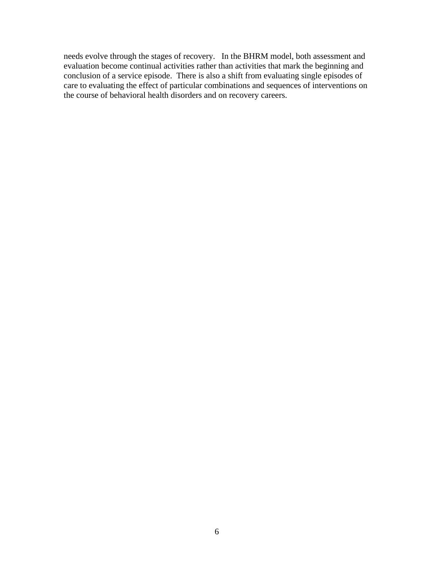needs evolve through the stages of recovery. In the BHRM model, both assessment and evaluation become continual activities rather than activities that mark the beginning and conclusion of a service episode. There is also a shift from evaluating single episodes of care to evaluating the effect of particular combinations and sequences of interventions on the course of behavioral health disorders and on recovery careers.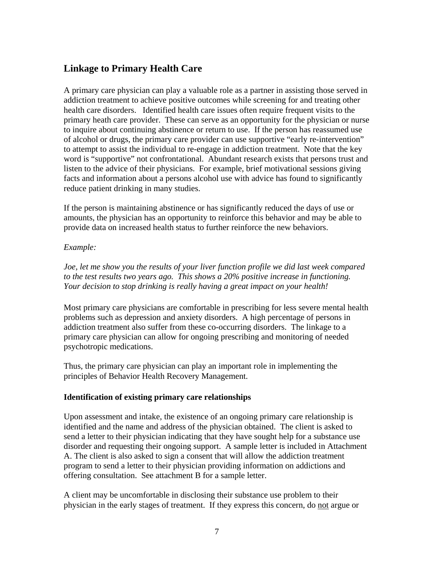## **Linkage to Primary Health Care**

A primary care physician can play a valuable role as a partner in assisting those served in addiction treatment to achieve positive outcomes while screening for and treating other health care disorders. Identified health care issues often require frequent visits to the primary heath care provider. These can serve as an opportunity for the physician or nurse to inquire about continuing abstinence or return to use. If the person has reassumed use of alcohol or drugs, the primary care provider can use supportive "early re-intervention" to attempt to assist the individual to re-engage in addiction treatment. Note that the key word is "supportive" not confrontational. Abundant research exists that persons trust and listen to the advice of their physicians. For example, brief motivational sessions giving facts and information about a persons alcohol use with advice has found to significantly reduce patient drinking in many studies.

If the person is maintaining abstinence or has significantly reduced the days of use or amounts, the physician has an opportunity to reinforce this behavior and may be able to provide data on increased health status to further reinforce the new behaviors.

#### *Example:*

*Joe, let me show you the results of your liver function profile we did last week compared to the test results two years ago. This shows a 20% positive increase in functioning. Your decision to stop drinking is really having a great impact on your health!* 

Most primary care physicians are comfortable in prescribing for less severe mental health problems such as depression and anxiety disorders. A high percentage of persons in addiction treatment also suffer from these co-occurring disorders. The linkage to a primary care physician can allow for ongoing prescribing and monitoring of needed psychotropic medications.

Thus, the primary care physician can play an important role in implementing the principles of Behavior Health Recovery Management.

#### **Identification of existing primary care relationships**

Upon assessment and intake, the existence of an ongoing primary care relationship is identified and the name and address of the physician obtained. The client is asked to send a letter to their physician indicating that they have sought help for a substance use disorder and requesting their ongoing support. A sample letter is included in Attachment A. The client is also asked to sign a consent that will allow the addiction treatment program to send a letter to their physician providing information on addictions and offering consultation. See attachment B for a sample letter.

A client may be uncomfortable in disclosing their substance use problem to their physician in the early stages of treatment. If they express this concern, do not argue or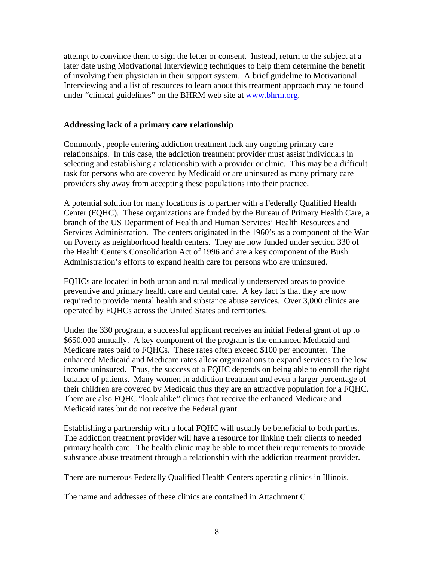attempt to convince them to sign the letter or consent. Instead, return to the subject at a later date using Motivational Interviewing techniques to help them determine the benefit of involving their physician in their support system. A brief guideline to Motivational Interviewing and a list of resources to learn about this treatment approach may be found under "clinical guidelines" on the BHRM web site at www.bhrm.org.

#### **Addressing lack of a primary care relationship**

Commonly, people entering addiction treatment lack any ongoing primary care relationships. In this case, the addiction treatment provider must assist individuals in selecting and establishing a relationship with a provider or clinic. This may be a difficult task for persons who are covered by Medicaid or are uninsured as many primary care providers shy away from accepting these populations into their practice.

A potential solution for many locations is to partner with a Federally Qualified Health Center (FQHC). These organizations are funded by the Bureau of Primary Health Care, a branch of the US Department of Health and Human Services' Health Resources and Services Administration. The centers originated in the 1960's as a component of the War on Poverty as neighborhood health centers. They are now funded under section 330 of the Health Centers Consolidation Act of 1996 and are a key component of the Bush Administration's efforts to expand health care for persons who are uninsured.

FQHCs are located in both urban and rural medically underserved areas to provide preventive and primary health care and dental care. A key fact is that they are now required to provide mental health and substance abuse services. Over 3,000 clinics are operated by FQHCs across the United States and territories.

Under the 330 program, a successful applicant receives an initial Federal grant of up to \$650,000 annually. A key component of the program is the enhanced Medicaid and Medicare rates paid to FQHCs. These rates often exceed \$100 per encounter. The enhanced Medicaid and Medicare rates allow organizations to expand services to the low income uninsured. Thus, the success of a FQHC depends on being able to enroll the right balance of patients. Many women in addiction treatment and even a larger percentage of their children are covered by Medicaid thus they are an attractive population for a FQHC. There are also FQHC "look alike" clinics that receive the enhanced Medicare and Medicaid rates but do not receive the Federal grant.

Establishing a partnership with a local FQHC will usually be beneficial to both parties. The addiction treatment provider will have a resource for linking their clients to needed primary health care. The health clinic may be able to meet their requirements to provide substance abuse treatment through a relationship with the addiction treatment provider.

There are numerous Federally Qualified Health Centers operating clinics in Illinois.

The name and addresses of these clinics are contained in Attachment C .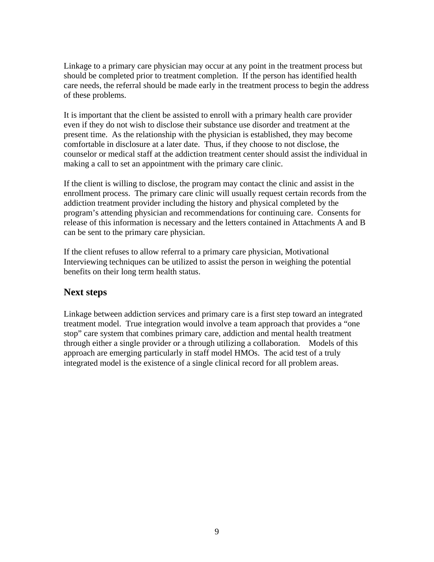Linkage to a primary care physician may occur at any point in the treatment process but should be completed prior to treatment completion. If the person has identified health care needs, the referral should be made early in the treatment process to begin the address of these problems.

It is important that the client be assisted to enroll with a primary health care provider even if they do not wish to disclose their substance use disorder and treatment at the present time. As the relationship with the physician is established, they may become comfortable in disclosure at a later date. Thus, if they choose to not disclose, the counselor or medical staff at the addiction treatment center should assist the individual in making a call to set an appointment with the primary care clinic.

If the client is willing to disclose, the program may contact the clinic and assist in the enrollment process. The primary care clinic will usually request certain records from the addiction treatment provider including the history and physical completed by the program's attending physician and recommendations for continuing care. Consents for release of this information is necessary and the letters contained in Attachments A and B can be sent to the primary care physician.

If the client refuses to allow referral to a primary care physician, Motivational Interviewing techniques can be utilized to assist the person in weighing the potential benefits on their long term health status.

## **Next steps**

Linkage between addiction services and primary care is a first step toward an integrated treatment model. True integration would involve a team approach that provides a "one stop" care system that combines primary care, addiction and mental health treatment through either a single provider or a through utilizing a collaboration. Models of this approach are emerging particularly in staff model HMOs. The acid test of a truly integrated model is the existence of a single clinical record for all problem areas.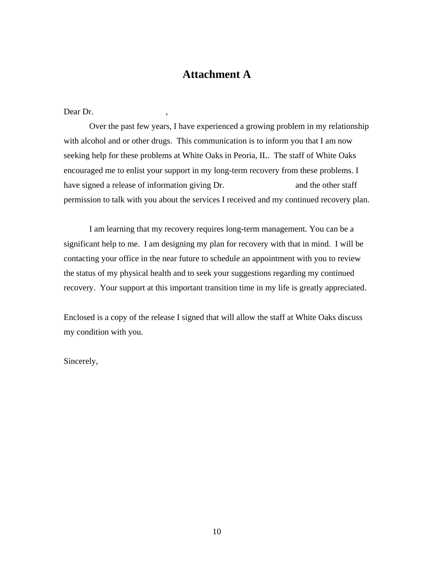## **Attachment A**

Dear Dr.

 Over the past few years, I have experienced a growing problem in my relationship with alcohol and or other drugs. This communication is to inform you that I am now seeking help for these problems at White Oaks in Peoria, IL. The staff of White Oaks encouraged me to enlist your support in my long-term recovery from these problems. I have signed a release of information giving Dr. and the other staff permission to talk with you about the services I received and my continued recovery plan.

 I am learning that my recovery requires long-term management. You can be a significant help to me. I am designing my plan for recovery with that in mind. I will be contacting your office in the near future to schedule an appointment with you to review the status of my physical health and to seek your suggestions regarding my continued recovery. Your support at this important transition time in my life is greatly appreciated.

Enclosed is a copy of the release I signed that will allow the staff at White Oaks discuss my condition with you.

Sincerely,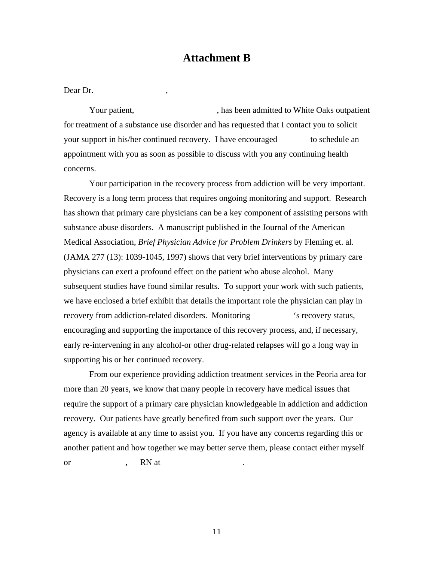## **Attachment B**

Dear Dr.

Your patient, The state of the state of the Southern Association of the Oaks outpatient of the Southern Southern Southern Southern Southern Southern Southern Southern Southern Southern Southern Southern Southern Southern S for treatment of a substance use disorder and has requested that I contact you to solicit your support in his/her continued recovery. I have encouraged to schedule an appointment with you as soon as possible to discuss with you any continuing health concerns.

 Your participation in the recovery process from addiction will be very important. Recovery is a long term process that requires ongoing monitoring and support. Research has shown that primary care physicians can be a key component of assisting persons with substance abuse disorders. A manuscript published in the Journal of the American Medical Association, *Brief Physician Advice for Problem Drinkers* by Fleming et. al. (JAMA 277 (13): 1039-1045, 1997) shows that very brief interventions by primary care physicians can exert a profound effect on the patient who abuse alcohol. Many subsequent studies have found similar results. To support your work with such patients, we have enclosed a brief exhibit that details the important role the physician can play in recovery from addiction-related disorders. Monitoring 's recovery status, encouraging and supporting the importance of this recovery process, and, if necessary, early re-intervening in any alcohol-or other drug-related relapses will go a long way in supporting his or her continued recovery.

 From our experience providing addiction treatment services in the Peoria area for more than 20 years, we know that many people in recovery have medical issues that require the support of a primary care physician knowledgeable in addiction and addiction recovery. Our patients have greatly benefited from such support over the years. Our agency is available at any time to assist you. If you have any concerns regarding this or another patient and how together we may better serve them, please contact either myself or , RN at .

11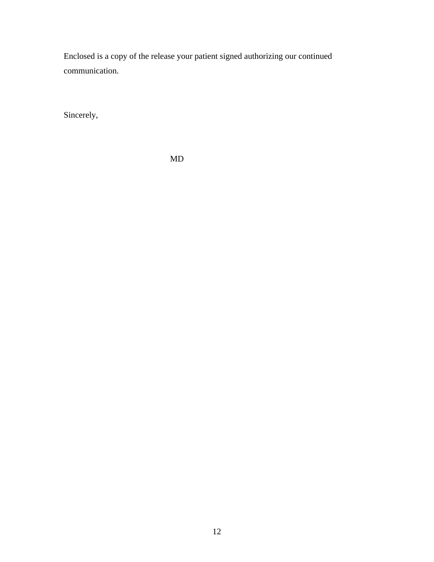Enclosed is a copy of the release your patient signed authorizing our continued communication.

Sincerely,

MD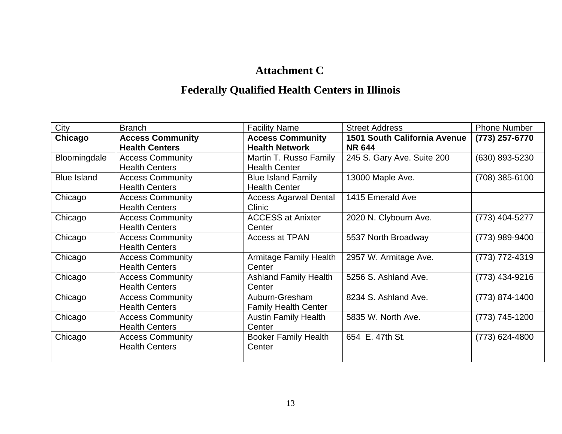## **Attachment C**

# **Federally Qualified Health Centers in Illinois**

| City               | <b>Branch</b>           | <b>Facility Name</b>          | <b>Street Address</b>        | <b>Phone Number</b> |
|--------------------|-------------------------|-------------------------------|------------------------------|---------------------|
| Chicago            | <b>Access Community</b> | <b>Access Community</b>       | 1501 South California Avenue | (773) 257-6770      |
|                    | <b>Health Centers</b>   | <b>Health Network</b>         | <b>NR 644</b>                |                     |
| Bloomingdale       | <b>Access Community</b> | Martin T. Russo Family        | 245 S. Gary Ave. Suite 200   | (630) 893-5230      |
|                    | <b>Health Centers</b>   | <b>Health Center</b>          |                              |                     |
| <b>Blue Island</b> | <b>Access Community</b> | <b>Blue Island Family</b>     | 13000 Maple Ave.             | (708) 385-6100      |
|                    | <b>Health Centers</b>   | <b>Health Center</b>          |                              |                     |
| Chicago            | <b>Access Community</b> | <b>Access Agarwal Dental</b>  | 1415 Emerald Ave             |                     |
|                    | <b>Health Centers</b>   | Clinic                        |                              |                     |
| Chicago            | <b>Access Community</b> | <b>ACCESS at Anixter</b>      | 2020 N. Clybourn Ave.        | (773) 404-5277      |
|                    | <b>Health Centers</b>   | Center                        |                              |                     |
| Chicago            | <b>Access Community</b> | Access at TPAN                | 5537 North Broadway          | (773) 989-9400      |
|                    | <b>Health Centers</b>   |                               |                              |                     |
| Chicago            | <b>Access Community</b> | <b>Armitage Family Health</b> | 2957 W. Armitage Ave.        | (773) 772-4319      |
|                    | <b>Health Centers</b>   | Center                        |                              |                     |
| Chicago            | <b>Access Community</b> | <b>Ashland Family Health</b>  | 5256 S. Ashland Ave.         | (773) 434-9216      |
|                    | <b>Health Centers</b>   | Center                        |                              |                     |
| Chicago            | <b>Access Community</b> | Auburn-Gresham                | 8234 S. Ashland Ave.         | (773) 874-1400      |
|                    | <b>Health Centers</b>   | <b>Family Health Center</b>   |                              |                     |
| Chicago            | <b>Access Community</b> | <b>Austin Family Health</b>   | 5835 W. North Ave.           | (773) 745-1200      |
|                    | <b>Health Centers</b>   | Center                        |                              |                     |
| Chicago            | <b>Access Community</b> | <b>Booker Family Health</b>   | 654 E. 47th St.              | (773) 624-4800      |
|                    | <b>Health Centers</b>   | Center                        |                              |                     |
|                    |                         |                               |                              |                     |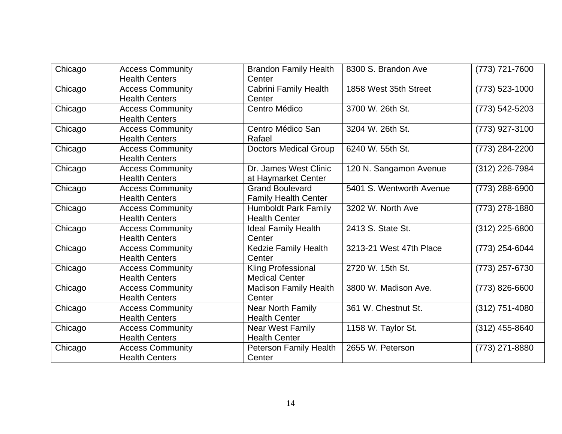| Chicago | <b>Access Community</b><br><b>Health Centers</b> | <b>Brandon Family Health</b><br>Center                | 8300 S. Brandon Ave      | (773) 721-7600     |
|---------|--------------------------------------------------|-------------------------------------------------------|--------------------------|--------------------|
| Chicago | <b>Access Community</b><br><b>Health Centers</b> | <b>Cabrini Family Health</b><br>Center                | 1858 West 35th Street    | (773) 523-1000     |
| Chicago | <b>Access Community</b><br><b>Health Centers</b> | Centro Médico                                         | 3700 W. 26th St.         | $(773) 542 - 5203$ |
| Chicago | <b>Access Community</b><br><b>Health Centers</b> | Centro Médico San<br>Rafael                           | 3204 W. 26th St.         | (773) 927-3100     |
| Chicago | <b>Access Community</b><br><b>Health Centers</b> | <b>Doctors Medical Group</b>                          | 6240 W. 55th St.         | (773) 284-2200     |
| Chicago | <b>Access Community</b><br><b>Health Centers</b> | Dr. James West Clinic<br>at Haymarket Center          | 120 N. Sangamon Avenue   | (312) 226-7984     |
| Chicago | <b>Access Community</b><br><b>Health Centers</b> | <b>Grand Boulevard</b><br><b>Family Health Center</b> | 5401 S. Wentworth Avenue | (773) 288-6900     |
| Chicago | <b>Access Community</b><br><b>Health Centers</b> | <b>Humboldt Park Family</b><br><b>Health Center</b>   | 3202 W. North Ave        | (773) 278-1880     |
| Chicago | <b>Access Community</b><br><b>Health Centers</b> | <b>Ideal Family Health</b><br>Center                  | 2413 S. State St.        | $(312)$ 225-6800   |
| Chicago | <b>Access Community</b><br><b>Health Centers</b> | Kedzie Family Health<br>Center                        | 3213-21 West 47th Place  | (773) 254-6044     |
| Chicago | <b>Access Community</b><br><b>Health Centers</b> | <b>Kling Professional</b><br><b>Medical Center</b>    | 2720 W. 15th St.         | (773) 257-6730     |
| Chicago | <b>Access Community</b><br><b>Health Centers</b> | <b>Madison Family Health</b><br>Center                | 3800 W. Madison Ave.     | (773) 826-6600     |
| Chicago | <b>Access Community</b><br><b>Health Centers</b> | Near North Family<br><b>Health Center</b>             | 361 W. Chestnut St.      | (312) 751-4080     |
| Chicago | <b>Access Community</b><br><b>Health Centers</b> | <b>Near West Family</b><br><b>Health Center</b>       | 1158 W. Taylor St.       | $(312)$ 455-8640   |
| Chicago | <b>Access Community</b><br><b>Health Centers</b> | Peterson Family Health<br>Center                      | 2655 W. Peterson         | (773) 271-8880     |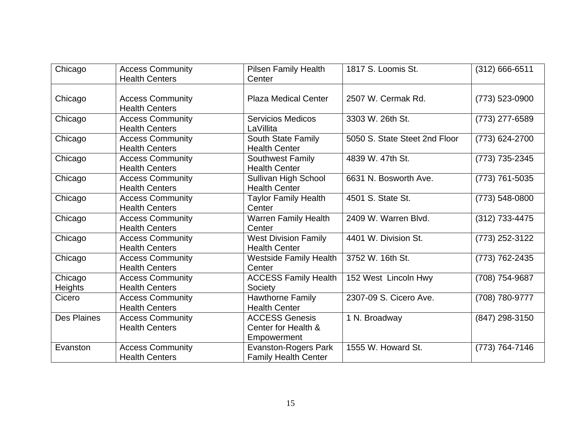| Chicago                   | <b>Access Community</b><br><b>Health Centers</b> | <b>Pilsen Family Health</b><br>Center                       | 1817 S. Loomis St.            | (312) 666-6511 |
|---------------------------|--------------------------------------------------|-------------------------------------------------------------|-------------------------------|----------------|
| Chicago                   | <b>Access Community</b><br><b>Health Centers</b> | <b>Plaza Medical Center</b>                                 | 2507 W. Cermak Rd.            | (773) 523-0900 |
| Chicago                   | <b>Access Community</b><br><b>Health Centers</b> | <b>Servicios Medicos</b><br>LaVillita                       | 3303 W. 26th St.              | (773) 277-6589 |
| Chicago                   | <b>Access Community</b><br><b>Health Centers</b> | <b>South State Family</b><br><b>Health Center</b>           | 5050 S. State Steet 2nd Floor | (773) 624-2700 |
| Chicago                   | <b>Access Community</b><br><b>Health Centers</b> | <b>Southwest Family</b><br><b>Health Center</b>             | 4839 W. 47th St.              | (773) 735-2345 |
| Chicago                   | <b>Access Community</b><br><b>Health Centers</b> | Sullivan High School<br><b>Health Center</b>                | 6631 N. Bosworth Ave.         | (773) 761-5035 |
| Chicago                   | <b>Access Community</b><br><b>Health Centers</b> | <b>Taylor Family Health</b><br>Center                       | 4501 S. State St.             | (773) 548-0800 |
| Chicago                   | <b>Access Community</b><br><b>Health Centers</b> | Warren Family Health<br>Center                              | 2409 W. Warren Blvd.          | (312) 733-4475 |
| Chicago                   | <b>Access Community</b><br><b>Health Centers</b> | <b>West Division Family</b><br><b>Health Center</b>         | 4401 W. Division St.          | (773) 252-3122 |
| Chicago                   | <b>Access Community</b><br><b>Health Centers</b> | <b>Westside Family Health</b><br>Center                     | 3752 W. 16th St.              | (773) 762-2435 |
| Chicago<br><b>Heights</b> | <b>Access Community</b><br><b>Health Centers</b> | <b>ACCESS Family Health</b><br>Society                      | 152 West Lincoln Hwy          | (708) 754-9687 |
| Cicero                    | <b>Access Community</b><br><b>Health Centers</b> | <b>Hawthorne Family</b><br><b>Health Center</b>             | 2307-09 S. Cicero Ave.        | (708) 780-9777 |
| <b>Des Plaines</b>        | <b>Access Community</b><br><b>Health Centers</b> | <b>ACCESS Genesis</b><br>Center for Health &<br>Empowerment | 1 N. Broadway                 | (847) 298-3150 |
| Evanston                  | <b>Access Community</b><br><b>Health Centers</b> | <b>Evanston-Rogers Park</b><br><b>Family Health Center</b>  | 1555 W. Howard St.            | (773) 764-7146 |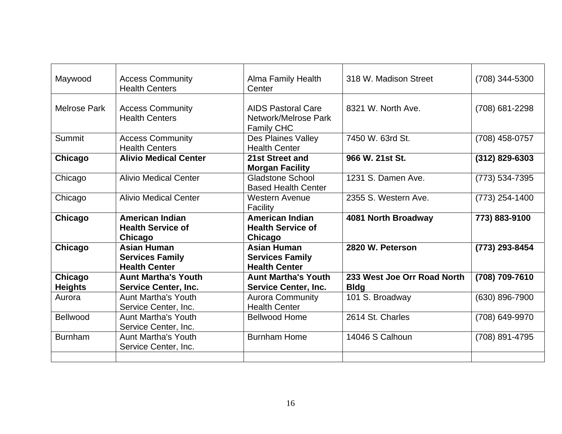| Maywood             | <b>Access Community</b>      | <b>Alma Family Health</b>  | 318 W. Madison Street       | (708) 344-5300     |
|---------------------|------------------------------|----------------------------|-----------------------------|--------------------|
|                     | <b>Health Centers</b>        | Center                     |                             |                    |
|                     |                              |                            |                             |                    |
| <b>Melrose Park</b> | <b>Access Community</b>      | <b>AIDS Pastoral Care</b>  | 8321 W. North Ave.          | (708) 681-2298     |
|                     | <b>Health Centers</b>        | Network/Melrose Park       |                             |                    |
|                     |                              | <b>Family CHC</b>          |                             |                    |
| Summit              | <b>Access Community</b>      | Des Plaines Valley         | 7450 W. 63rd St.            | (708) 458-0757     |
|                     | <b>Health Centers</b>        | <b>Health Center</b>       |                             |                    |
| Chicago             | <b>Alivio Medical Center</b> | 21st Street and            | 966 W. 21st St.             | $(312)$ 829-6303   |
|                     |                              | <b>Morgan Facility</b>     |                             |                    |
| Chicago             | <b>Alivio Medical Center</b> | <b>Gladstone School</b>    | 1231 S. Damen Ave.          | $(773) 534 - 7395$ |
|                     |                              | <b>Based Health Center</b> |                             |                    |
| Chicago             | <b>Alivio Medical Center</b> | <b>Western Avenue</b>      | 2355 S. Western Ave.        | $(773)$ 254-1400   |
|                     |                              | Facility                   |                             |                    |
| Chicago             | <b>American Indian</b>       | <b>American Indian</b>     | 4081 North Broadway         | 773) 883-9100      |
|                     | <b>Health Service of</b>     | <b>Health Service of</b>   |                             |                    |
|                     | Chicago                      | Chicago                    |                             |                    |
| Chicago             | <b>Asian Human</b>           | <b>Asian Human</b>         | 2820 W. Peterson            | (773) 293-8454     |
|                     | <b>Services Family</b>       | <b>Services Family</b>     |                             |                    |
|                     | <b>Health Center</b>         | <b>Health Center</b>       |                             |                    |
| Chicago             | <b>Aunt Martha's Youth</b>   | <b>Aunt Martha's Youth</b> | 233 West Joe Orr Road North | (708) 709-7610     |
| <b>Heights</b>      | <b>Service Center, Inc.</b>  | Service Center, Inc.       | <b>Bldg</b>                 |                    |
| Aurora              | <b>Aunt Martha's Youth</b>   | <b>Aurora Community</b>    | 101 S. Broadway             | (630) 896-7900     |
|                     | Service Center, Inc.         | <b>Health Center</b>       |                             |                    |
| Bellwood            | <b>Aunt Martha's Youth</b>   | <b>Bellwood Home</b>       | 2614 St. Charles            | (708) 649-9970     |
|                     | Service Center, Inc.         |                            |                             |                    |
| <b>Burnham</b>      | <b>Aunt Martha's Youth</b>   | <b>Burnham Home</b>        | 14046 S Calhoun             | (708) 891-4795     |
|                     | Service Center, Inc.         |                            |                             |                    |
|                     |                              |                            |                             |                    |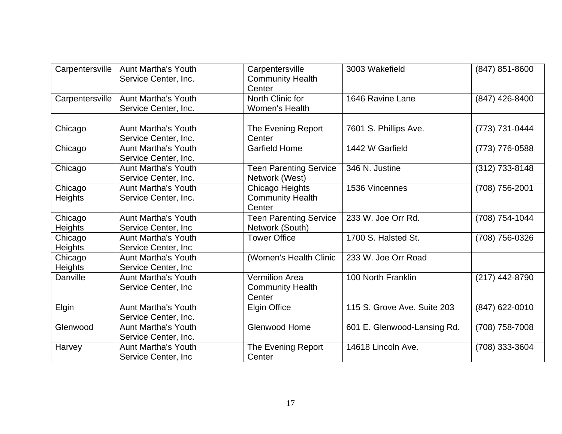| Carpentersville           | <b>Aunt Martha's Youth</b><br>Service Center, Inc. | Carpentersville<br><b>Community Health</b><br>Center       | 3003 Wakefield              | (847) 851-8600 |
|---------------------------|----------------------------------------------------|------------------------------------------------------------|-----------------------------|----------------|
| Carpentersville           | <b>Aunt Martha's Youth</b><br>Service Center, Inc. | North Clinic for<br>Women's Health                         | 1646 Ravine Lane            | (847) 426-8400 |
| Chicago                   | <b>Aunt Martha's Youth</b><br>Service Center, Inc. | The Evening Report<br>Center                               | 7601 S. Phillips Ave.       | (773) 731-0444 |
| Chicago                   | <b>Aunt Martha's Youth</b><br>Service Center, Inc. | <b>Garfield Home</b>                                       | 1442 W Garfield             | (773) 776-0588 |
| Chicago                   | <b>Aunt Martha's Youth</b><br>Service Center, Inc. | <b>Teen Parenting Service</b><br>Network (West)            | 346 N. Justine              | (312) 733-8148 |
| Chicago<br><b>Heights</b> | <b>Aunt Martha's Youth</b><br>Service Center, Inc. | Chicago Heights<br><b>Community Health</b><br>Center       | 1536 Vincennes              | (708) 756-2001 |
| Chicago<br><b>Heights</b> | <b>Aunt Martha's Youth</b><br>Service Center, Inc  | <b>Teen Parenting Service</b><br>Network (South)           | 233 W. Joe Orr Rd.          | (708) 754-1044 |
| Chicago<br><b>Heights</b> | <b>Aunt Martha's Youth</b><br>Service Center, Inc. | <b>Tower Office</b>                                        | 1700 S. Halsted St.         | (708) 756-0326 |
| Chicago<br><b>Heights</b> | <b>Aunt Martha's Youth</b><br>Service Center, Inc  | (Women's Health Clinic                                     | 233 W. Joe Orr Road         |                |
| Danville                  | <b>Aunt Martha's Youth</b><br>Service Center, Inc. | <b>Vermilion Area</b><br><b>Community Health</b><br>Center | 100 North Franklin          | (217) 442-8790 |
| Elgin                     | <b>Aunt Martha's Youth</b><br>Service Center, Inc. | <b>Elgin Office</b>                                        | 115 S. Grove Ave. Suite 203 | (847) 622-0010 |
| Glenwood                  | <b>Aunt Martha's Youth</b><br>Service Center, Inc. | <b>Glenwood Home</b>                                       | 601 E. Glenwood-Lansing Rd. | (708) 758-7008 |
| Harvey                    | <b>Aunt Martha's Youth</b><br>Service Center, Inc  | The Evening Report<br>Center                               | 14618 Lincoln Ave.          | (708) 333-3604 |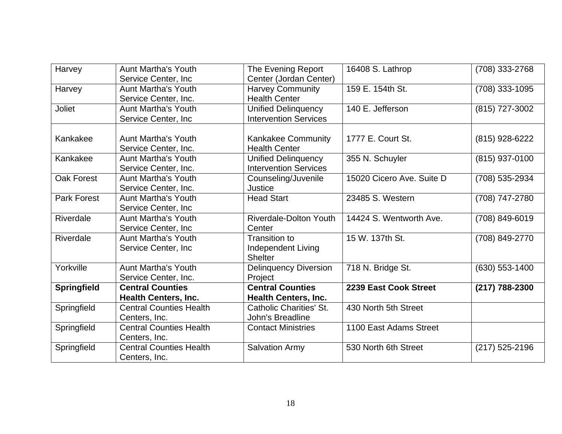| Harvey             | <b>Aunt Martha's Youth</b>     | The Evening Report             | 16408 S. Lathrop          | (708) 333-2768   |
|--------------------|--------------------------------|--------------------------------|---------------------------|------------------|
|                    | Service Center, Inc            | Center (Jordan Center)         |                           |                  |
| Harvey             | <b>Aunt Martha's Youth</b>     | <b>Harvey Community</b>        | 159 E. 154th St.          | (708) 333-1095   |
|                    | Service Center, Inc.           | <b>Health Center</b>           |                           |                  |
| <b>Joliet</b>      | <b>Aunt Martha's Youth</b>     | <b>Unified Delinquency</b>     | 140 E. Jefferson          | (815) 727-3002   |
|                    | Service Center, Inc            | <b>Intervention Services</b>   |                           |                  |
|                    |                                |                                |                           |                  |
| Kankakee           | <b>Aunt Martha's Youth</b>     | <b>Kankakee Community</b>      | 1777 E. Court St.         | (815) 928-6222   |
|                    | Service Center, Inc.           | <b>Health Center</b>           |                           |                  |
| Kankakee           | <b>Aunt Martha's Youth</b>     | <b>Unified Delinquency</b>     | 355 N. Schuyler           | (815) 937-0100   |
|                    | Service Center, Inc.           | <b>Intervention Services</b>   |                           |                  |
| <b>Oak Forest</b>  | <b>Aunt Martha's Youth</b>     | Counseling/Juvenile            | 15020 Cicero Ave. Suite D | (708) 535-2934   |
|                    | Service Center, Inc.           | Justice                        |                           |                  |
| <b>Park Forest</b> | <b>Aunt Martha's Youth</b>     | <b>Head Start</b>              | 23485 S. Western          | (708) 747-2780   |
|                    | Service Center, Inc            |                                |                           |                  |
| Riverdale          | <b>Aunt Martha's Youth</b>     | <b>Riverdale-Dolton Youth</b>  | 14424 S. Wentworth Ave.   | (708) 849-6019   |
|                    | Service Center, Inc            | Center                         |                           |                  |
| Riverdale          | <b>Aunt Martha's Youth</b>     | <b>Transition to</b>           | 15 W. 137th St.           | (708) 849-2770   |
|                    | Service Center, Inc.           | Independent Living             |                           |                  |
|                    |                                | <b>Shelter</b>                 |                           |                  |
| Yorkville          | <b>Aunt Martha's Youth</b>     | <b>Delinquency Diversion</b>   | 718 N. Bridge St.         | $(630)$ 553-1400 |
|                    | Service Center, Inc.           | Project                        |                           |                  |
| <b>Springfield</b> | <b>Central Counties</b>        | <b>Central Counties</b>        | 2239 East Cook Street     | (217) 788-2300   |
|                    | <b>Health Centers, Inc.</b>    | <b>Health Centers, Inc.</b>    |                           |                  |
| Springfield        | <b>Central Counties Health</b> | <b>Catholic Charities' St.</b> | 430 North 5th Street      |                  |
|                    | Centers, Inc.                  | John's Breadline               |                           |                  |
| Springfield        | <b>Central Counties Health</b> | <b>Contact Ministries</b>      | 1100 East Adams Street    |                  |
|                    | Centers, Inc.                  |                                |                           |                  |
| Springfield        | <b>Central Counties Health</b> | <b>Salvation Army</b>          | 530 North 6th Street      | (217) 525-2196   |
|                    | Centers, Inc.                  |                                |                           |                  |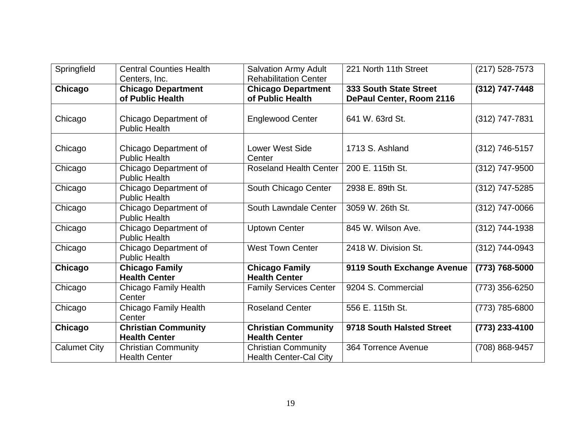| Springfield         | <b>Central Counties Health</b><br>Centers, Inc.    | <b>Salvation Army Adult</b><br><b>Rehabilitation Center</b> | 221 North 11th Street                              | (217) 528-7573   |
|---------------------|----------------------------------------------------|-------------------------------------------------------------|----------------------------------------------------|------------------|
| Chicago             | <b>Chicago Department</b><br>of Public Health      | <b>Chicago Department</b><br>of Public Health               | 333 South State Street<br>DePaul Center, Room 2116 | (312) 747-7448   |
| Chicago             | Chicago Department of<br><b>Public Health</b>      | <b>Englewood Center</b>                                     | 641 W. 63rd St.                                    | (312) 747-7831   |
| Chicago             | Chicago Department of<br><b>Public Health</b>      | <b>Lower West Side</b><br>Center                            | 1713 S. Ashland                                    | (312) 746-5157   |
| Chicago             | Chicago Department of<br><b>Public Health</b>      | <b>Roseland Health Center</b>                               | 200 E. 115th St.                                   | (312) 747-9500   |
| Chicago             | Chicago Department of<br><b>Public Health</b>      | South Chicago Center                                        | 2938 E. 89th St.                                   | (312) 747-5285   |
| Chicago             | Chicago Department of<br><b>Public Health</b>      | South Lawndale Center                                       | 3059 W. 26th St.                                   | (312) 747-0066   |
| Chicago             | Chicago Department of<br><b>Public Health</b>      | <b>Uptown Center</b>                                        | 845 W. Wilson Ave.                                 | (312) 744-1938   |
| Chicago             | Chicago Department of<br><b>Public Health</b>      | <b>West Town Center</b>                                     | 2418 W. Division St.                               | (312) 744-0943   |
| Chicago             | <b>Chicago Family</b><br><b>Health Center</b>      | <b>Chicago Family</b><br><b>Health Center</b>               | 9119 South Exchange Avenue                         | (773) 768-5000   |
| Chicago             | Chicago Family Health<br>Center                    | <b>Family Services Center</b>                               | 9204 S. Commercial                                 | $(773)$ 356-6250 |
| Chicago             | <b>Chicago Family Health</b><br>Center             | <b>Roseland Center</b>                                      | 556 E. 115th St.                                   | (773) 785-6800   |
| Chicago             | <b>Christian Community</b><br><b>Health Center</b> | <b>Christian Community</b><br><b>Health Center</b>          | 9718 South Halsted Street                          | (773) 233-4100   |
| <b>Calumet City</b> | <b>Christian Community</b><br><b>Health Center</b> | <b>Christian Community</b><br><b>Health Center-Cal City</b> | 364 Torrence Avenue                                | (708) 868-9457   |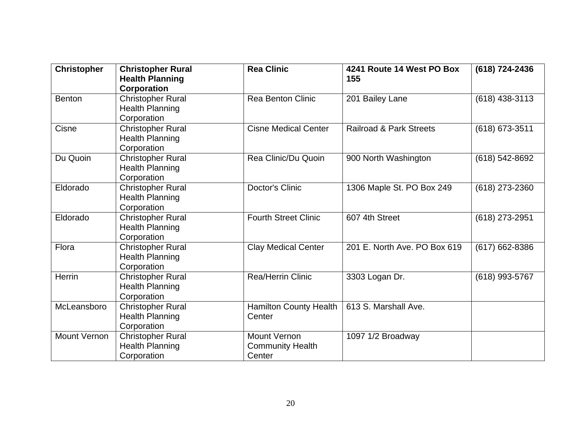| <b>Christopher</b>  | <b>Christopher Rural</b><br><b>Health Planning</b><br>Corporation | <b>Rea Clinic</b>                                        | 4241 Route 14 West PO Box<br>155   | (618) 724-2436   |
|---------------------|-------------------------------------------------------------------|----------------------------------------------------------|------------------------------------|------------------|
| <b>Benton</b>       | <b>Christopher Rural</b><br><b>Health Planning</b><br>Corporation | <b>Rea Benton Clinic</b>                                 | 201 Bailey Lane                    | $(618)$ 438-3113 |
| Cisne               | <b>Christopher Rural</b><br><b>Health Planning</b><br>Corporation | <b>Cisne Medical Center</b>                              | <b>Railroad &amp; Park Streets</b> | (618) 673-3511   |
| Du Quoin            | <b>Christopher Rural</b><br><b>Health Planning</b><br>Corporation | Rea Clinic/Du Quoin                                      | 900 North Washington               | (618) 542-8692   |
| Eldorado            | <b>Christopher Rural</b><br><b>Health Planning</b><br>Corporation | <b>Doctor's Clinic</b>                                   | 1306 Maple St. PO Box 249          | (618) 273-2360   |
| Eldorado            | <b>Christopher Rural</b><br><b>Health Planning</b><br>Corporation | <b>Fourth Street Clinic</b>                              | 607 4th Street                     | (618) 273-2951   |
| Flora               | <b>Christopher Rural</b><br><b>Health Planning</b><br>Corporation | <b>Clay Medical Center</b>                               | 201 E. North Ave. PO Box 619       | (617) 662-8386   |
| Herrin              | <b>Christopher Rural</b><br><b>Health Planning</b><br>Corporation | Rea/Herrin Clinic                                        | 3303 Logan Dr.                     | (618) 993-5767   |
| McLeansboro         | <b>Christopher Rural</b><br><b>Health Planning</b><br>Corporation | <b>Hamilton County Health</b><br>Center                  | 613 S. Marshall Ave.               |                  |
| <b>Mount Vernon</b> | <b>Christopher Rural</b><br><b>Health Planning</b><br>Corporation | <b>Mount Vernon</b><br><b>Community Health</b><br>Center | 1097 1/2 Broadway                  |                  |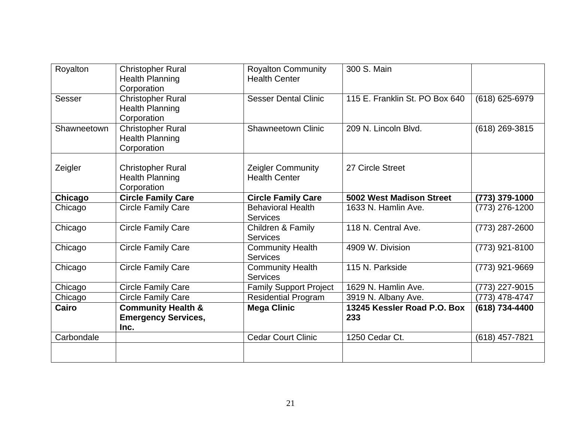| Royalton      | <b>Christopher Rural</b><br><b>Health Planning</b><br>Corporation   | <b>Royalton Community</b><br><b>Health Center</b> | 300 S. Main                        |                  |
|---------------|---------------------------------------------------------------------|---------------------------------------------------|------------------------------------|------------------|
| <b>Sesser</b> | <b>Christopher Rural</b><br><b>Health Planning</b><br>Corporation   | <b>Sesser Dental Clinic</b>                       | 115 E. Franklin St. PO Box 640     | (618) 625-6979   |
| Shawneetown   | <b>Christopher Rural</b><br><b>Health Planning</b><br>Corporation   | <b>Shawneetown Clinic</b>                         | 209 N. Lincoln Blvd.               | (618) 269-3815   |
| Zeigler       | <b>Christopher Rural</b><br><b>Health Planning</b><br>Corporation   | <b>Zeigler Community</b><br><b>Health Center</b>  | 27 Circle Street                   |                  |
| Chicago       | <b>Circle Family Care</b>                                           | <b>Circle Family Care</b>                         | 5002 West Madison Street           | (773) 379-1000   |
| Chicago       | <b>Circle Family Care</b>                                           | <b>Behavioral Health</b><br><b>Services</b>       | 1633 N. Hamlin Ave.                | (773) 276-1200   |
| Chicago       | <b>Circle Family Care</b>                                           | Children & Family<br><b>Services</b>              | 118 N. Central Ave.                | (773) 287-2600   |
| Chicago       | <b>Circle Family Care</b>                                           | <b>Community Health</b><br><b>Services</b>        | 4909 W. Division                   | $(773)$ 921-8100 |
| Chicago       | <b>Circle Family Care</b>                                           | <b>Community Health</b><br><b>Services</b>        | 115 N. Parkside                    | (773) 921-9669   |
| Chicago       | <b>Circle Family Care</b>                                           | <b>Family Support Project</b>                     | 1629 N. Hamlin Ave.                | (773) 227-9015   |
| Chicago       | <b>Circle Family Care</b>                                           | <b>Residential Program</b>                        | 3919 N. Albany Ave.                | (773) 478-4747   |
| Cairo         | <b>Community Health &amp;</b><br><b>Emergency Services,</b><br>Inc. | <b>Mega Clinic</b>                                | 13245 Kessler Road P.O. Box<br>233 | (618) 734-4400   |
| Carbondale    |                                                                     | <b>Cedar Court Clinic</b>                         | 1250 Cedar Ct.                     | (618) 457-7821   |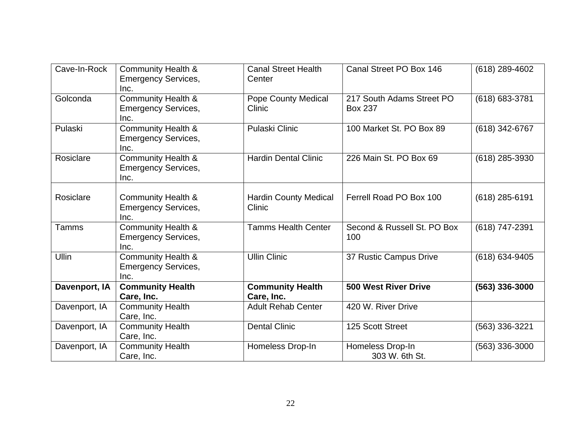| Cave-In-Rock  | <b>Community Health &amp;</b><br><b>Emergency Services,</b><br>Inc. | <b>Canal Street Health</b><br>Center   | Canal Street PO Box 146                     | $(618)$ 289-4602 |
|---------------|---------------------------------------------------------------------|----------------------------------------|---------------------------------------------|------------------|
| Golconda      | <b>Community Health &amp;</b><br><b>Emergency Services,</b><br>Inc. | <b>Pope County Medical</b><br>Clinic   | 217 South Adams Street PO<br><b>Box 237</b> | (618) 683-3781   |
| Pulaski       | <b>Community Health &amp;</b><br><b>Emergency Services,</b><br>Inc. | <b>Pulaski Clinic</b>                  | 100 Market St. PO Box 89                    | (618) 342-6767   |
| Rosiclare     | <b>Community Health &amp;</b><br><b>Emergency Services,</b><br>Inc. | <b>Hardin Dental Clinic</b>            | 226 Main St. PO Box 69                      | (618) 285-3930   |
| Rosiclare     | <b>Community Health &amp;</b><br><b>Emergency Services,</b><br>Inc. | <b>Hardin County Medical</b><br>Clinic | Ferrell Road PO Box 100                     | (618) 285-6191   |
| Tamms         | <b>Community Health &amp;</b><br><b>Emergency Services,</b><br>Inc. | <b>Tamms Health Center</b>             | Second & Russell St. PO Box<br>100          | (618) 747-2391   |
| <b>Ullin</b>  | <b>Community Health &amp;</b><br><b>Emergency Services,</b><br>Inc. | <b>Ullin Clinic</b>                    | 37 Rustic Campus Drive                      | (618) 634-9405   |
| Davenport, IA | <b>Community Health</b><br>Care, Inc.                               | <b>Community Health</b><br>Care, Inc.  | <b>500 West River Drive</b>                 | (563) 336-3000   |
| Davenport, IA | <b>Community Health</b><br>Care, Inc.                               | <b>Adult Rehab Center</b>              | 420 W. River Drive                          |                  |
| Davenport, IA | <b>Community Health</b><br>Care, Inc.                               | <b>Dental Clinic</b>                   | 125 Scott Street                            | (563) 336-3221   |
| Davenport, IA | <b>Community Health</b><br>Care, Inc.                               | Homeless Drop-In                       | Homeless Drop-In<br>303 W. 6th St.          | (563) 336-3000   |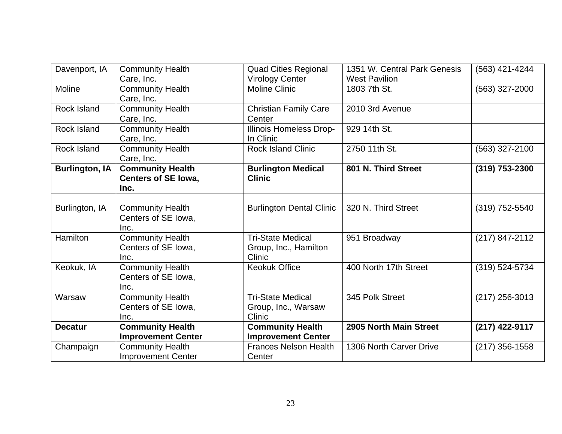| <b>Community Health</b>   | <b>Quad Cities Regional</b>                                                                                                                                                                                                                                                                                                                                                                                                                                           | 1351 W. Central Park Genesis                                                                                                                                                                                                                                                   | (563) 421-4244                                                                                                      |
|---------------------------|-----------------------------------------------------------------------------------------------------------------------------------------------------------------------------------------------------------------------------------------------------------------------------------------------------------------------------------------------------------------------------------------------------------------------------------------------------------------------|--------------------------------------------------------------------------------------------------------------------------------------------------------------------------------------------------------------------------------------------------------------------------------|---------------------------------------------------------------------------------------------------------------------|
|                           |                                                                                                                                                                                                                                                                                                                                                                                                                                                                       |                                                                                                                                                                                                                                                                                |                                                                                                                     |
|                           |                                                                                                                                                                                                                                                                                                                                                                                                                                                                       |                                                                                                                                                                                                                                                                                | (563) 327-2000                                                                                                      |
|                           |                                                                                                                                                                                                                                                                                                                                                                                                                                                                       |                                                                                                                                                                                                                                                                                |                                                                                                                     |
|                           |                                                                                                                                                                                                                                                                                                                                                                                                                                                                       |                                                                                                                                                                                                                                                                                |                                                                                                                     |
| Care, Inc.                | Center                                                                                                                                                                                                                                                                                                                                                                                                                                                                |                                                                                                                                                                                                                                                                                |                                                                                                                     |
| <b>Community Health</b>   | Illinois Homeless Drop-                                                                                                                                                                                                                                                                                                                                                                                                                                               | 929 14th St.                                                                                                                                                                                                                                                                   |                                                                                                                     |
| Care, Inc.                | In Clinic                                                                                                                                                                                                                                                                                                                                                                                                                                                             |                                                                                                                                                                                                                                                                                |                                                                                                                     |
|                           | Rock Island Clinic                                                                                                                                                                                                                                                                                                                                                                                                                                                    | 2750 11th St.                                                                                                                                                                                                                                                                  | (563) 327-2100                                                                                                      |
| Care, Inc.                |                                                                                                                                                                                                                                                                                                                                                                                                                                                                       |                                                                                                                                                                                                                                                                                |                                                                                                                     |
|                           |                                                                                                                                                                                                                                                                                                                                                                                                                                                                       | 801 N. Third Street                                                                                                                                                                                                                                                            | $(319)$ 753-2300                                                                                                    |
|                           | <b>Clinic</b>                                                                                                                                                                                                                                                                                                                                                                                                                                                         |                                                                                                                                                                                                                                                                                |                                                                                                                     |
| Inc.                      |                                                                                                                                                                                                                                                                                                                                                                                                                                                                       |                                                                                                                                                                                                                                                                                |                                                                                                                     |
|                           |                                                                                                                                                                                                                                                                                                                                                                                                                                                                       |                                                                                                                                                                                                                                                                                |                                                                                                                     |
|                           |                                                                                                                                                                                                                                                                                                                                                                                                                                                                       | 320 N. Third Street                                                                                                                                                                                                                                                            | (319) 752-5540                                                                                                      |
|                           |                                                                                                                                                                                                                                                                                                                                                                                                                                                                       |                                                                                                                                                                                                                                                                                |                                                                                                                     |
| Inc.                      |                                                                                                                                                                                                                                                                                                                                                                                                                                                                       |                                                                                                                                                                                                                                                                                |                                                                                                                     |
|                           | <b>Tri-State Medical</b>                                                                                                                                                                                                                                                                                                                                                                                                                                              |                                                                                                                                                                                                                                                                                | (217) 847-2112                                                                                                      |
|                           |                                                                                                                                                                                                                                                                                                                                                                                                                                                                       |                                                                                                                                                                                                                                                                                |                                                                                                                     |
| Inc.                      | Clinic                                                                                                                                                                                                                                                                                                                                                                                                                                                                |                                                                                                                                                                                                                                                                                |                                                                                                                     |
|                           |                                                                                                                                                                                                                                                                                                                                                                                                                                                                       |                                                                                                                                                                                                                                                                                | (319) 524-5734                                                                                                      |
|                           |                                                                                                                                                                                                                                                                                                                                                                                                                                                                       |                                                                                                                                                                                                                                                                                |                                                                                                                     |
| Inc.                      |                                                                                                                                                                                                                                                                                                                                                                                                                                                                       |                                                                                                                                                                                                                                                                                |                                                                                                                     |
|                           | <b>Tri-State Medical</b>                                                                                                                                                                                                                                                                                                                                                                                                                                              |                                                                                                                                                                                                                                                                                | (217) 256-3013                                                                                                      |
|                           |                                                                                                                                                                                                                                                                                                                                                                                                                                                                       |                                                                                                                                                                                                                                                                                |                                                                                                                     |
|                           | Clinic                                                                                                                                                                                                                                                                                                                                                                                                                                                                |                                                                                                                                                                                                                                                                                |                                                                                                                     |
|                           |                                                                                                                                                                                                                                                                                                                                                                                                                                                                       | 2905 North Main Street                                                                                                                                                                                                                                                         | (217) 422-9117                                                                                                      |
|                           |                                                                                                                                                                                                                                                                                                                                                                                                                                                                       |                                                                                                                                                                                                                                                                                |                                                                                                                     |
|                           | <b>Frances Nelson Health</b>                                                                                                                                                                                                                                                                                                                                                                                                                                          | 1306 North Carver Drive                                                                                                                                                                                                                                                        | (217) 356-1558                                                                                                      |
| <b>Improvement Center</b> | Center                                                                                                                                                                                                                                                                                                                                                                                                                                                                |                                                                                                                                                                                                                                                                                |                                                                                                                     |
|                           | Care, Inc.<br><b>Community Health</b><br>Care, Inc.<br><b>Community Health</b><br><b>Community Health</b><br><b>Community Health</b><br><b>Centers of SE lowa,</b><br><b>Community Health</b><br>Centers of SE Iowa,<br><b>Community Health</b><br>Centers of SE Iowa,<br><b>Community Health</b><br>Centers of SE Iowa,<br><b>Community Health</b><br>Centers of SE Iowa,<br>Inc.<br><b>Community Health</b><br><b>Improvement Center</b><br><b>Community Health</b> | <b>Virology Center</b><br><b>Moline Clinic</b><br><b>Christian Family Care</b><br><b>Burlington Medical</b><br><b>Burlington Dental Clinic</b><br>Group, Inc., Hamilton<br><b>Keokuk Office</b><br>Group, Inc., Warsaw<br><b>Community Health</b><br><b>Improvement Center</b> | <b>West Pavilion</b><br>1803 7th St.<br>2010 3rd Avenue<br>951 Broadway<br>400 North 17th Street<br>345 Polk Street |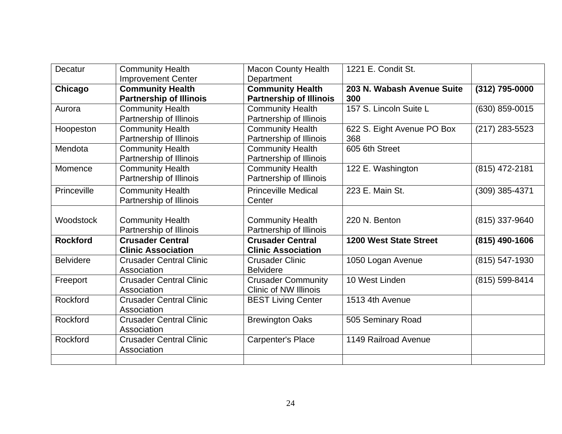| Decatur          | <b>Community Health</b>        | <b>Macon County Health</b>     | 1221 E. Condit St.            |                  |
|------------------|--------------------------------|--------------------------------|-------------------------------|------------------|
|                  | <b>Improvement Center</b>      | Department                     |                               |                  |
| Chicago          | <b>Community Health</b>        | <b>Community Health</b>        | 203 N. Wabash Avenue Suite    | (312) 795-0000   |
|                  | <b>Partnership of Illinois</b> | <b>Partnership of Illinois</b> | 300                           |                  |
| Aurora           | <b>Community Health</b>        | <b>Community Health</b>        | 157 S. Lincoln Suite L        | (630) 859-0015   |
|                  | Partnership of Illinois        | Partnership of Illinois        |                               |                  |
| Hoopeston        | <b>Community Health</b>        | <b>Community Health</b>        | 622 S. Eight Avenue PO Box    | $(217)$ 283-5523 |
|                  | Partnership of Illinois        | Partnership of Illinois        | 368                           |                  |
| Mendota          | <b>Community Health</b>        | <b>Community Health</b>        | 605 6th Street                |                  |
|                  | Partnership of Illinois        | Partnership of Illinois        |                               |                  |
| Momence          | <b>Community Health</b>        | <b>Community Health</b>        | 122 E. Washington             | (815) 472-2181   |
|                  | Partnership of Illinois        | Partnership of Illinois        |                               |                  |
| Princeville      | <b>Community Health</b>        | <b>Princeville Medical</b>     | 223 E. Main St.               | (309) 385-4371   |
|                  | Partnership of Illinois        | Center                         |                               |                  |
|                  |                                |                                |                               |                  |
| Woodstock        | <b>Community Health</b>        | <b>Community Health</b>        | 220 N. Benton                 | (815) 337-9640   |
|                  | Partnership of Illinois        | Partnership of Illinois        |                               |                  |
| <b>Rockford</b>  | <b>Crusader Central</b>        | <b>Crusader Central</b>        | <b>1200 West State Street</b> | $(815)$ 490-1606 |
|                  | <b>Clinic Association</b>      | <b>Clinic Association</b>      |                               |                  |
| <b>Belvidere</b> | <b>Crusader Central Clinic</b> | <b>Crusader Clinic</b>         | 1050 Logan Avenue             | (815) 547-1930   |
|                  | Association                    | <b>Belvidere</b>               |                               |                  |
| Freeport         | <b>Crusader Central Clinic</b> | <b>Crusader Community</b>      | 10 West Linden                | (815) 599-8414   |
|                  | Association                    | <b>Clinic of NW Illinois</b>   |                               |                  |
| Rockford         | <b>Crusader Central Clinic</b> | <b>BEST Living Center</b>      | 1513 4th Avenue               |                  |
|                  | Association                    |                                |                               |                  |
| Rockford         | <b>Crusader Central Clinic</b> | <b>Brewington Oaks</b>         | 505 Seminary Road             |                  |
|                  | Association                    |                                |                               |                  |
| Rockford         | <b>Crusader Central Clinic</b> | <b>Carpenter's Place</b>       | 1149 Railroad Avenue          |                  |
|                  | Association                    |                                |                               |                  |
|                  |                                |                                |                               |                  |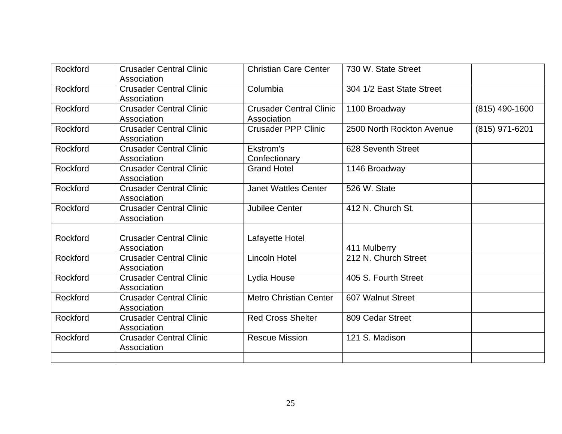| Rockford | <b>Crusader Central Clinic</b><br>Association | <b>Christian Care Center</b>                  | 730 W. State Street       |                |
|----------|-----------------------------------------------|-----------------------------------------------|---------------------------|----------------|
| Rockford | <b>Crusader Central Clinic</b><br>Association | Columbia                                      | 304 1/2 East State Street |                |
| Rockford | <b>Crusader Central Clinic</b><br>Association | <b>Crusader Central Clinic</b><br>Association | 1100 Broadway             | (815) 490-1600 |
| Rockford | <b>Crusader Central Clinic</b><br>Association | <b>Crusader PPP Clinic</b>                    | 2500 North Rockton Avenue | (815) 971-6201 |
| Rockford | <b>Crusader Central Clinic</b><br>Association | Ekstrom's<br>Confectionary                    | 628 Seventh Street        |                |
| Rockford | <b>Crusader Central Clinic</b><br>Association | <b>Grand Hotel</b>                            | 1146 Broadway             |                |
| Rockford | <b>Crusader Central Clinic</b><br>Association | <b>Janet Wattles Center</b>                   | 526 W. State              |                |
| Rockford | <b>Crusader Central Clinic</b><br>Association | Jubilee Center                                | 412 N. Church St.         |                |
| Rockford | <b>Crusader Central Clinic</b><br>Association | Lafayette Hotel                               | 411 Mulberry              |                |
| Rockford | <b>Crusader Central Clinic</b><br>Association | <b>Lincoln Hotel</b>                          | 212 N. Church Street      |                |
| Rockford | <b>Crusader Central Clinic</b><br>Association | Lydia House                                   | 405 S. Fourth Street      |                |
| Rockford | <b>Crusader Central Clinic</b><br>Association | <b>Metro Christian Center</b>                 | 607 Walnut Street         |                |
| Rockford | <b>Crusader Central Clinic</b><br>Association | <b>Red Cross Shelter</b>                      | 809 Cedar Street          |                |
| Rockford | <b>Crusader Central Clinic</b><br>Association | <b>Rescue Mission</b>                         | 121 S. Madison            |                |
|          |                                               |                                               |                           |                |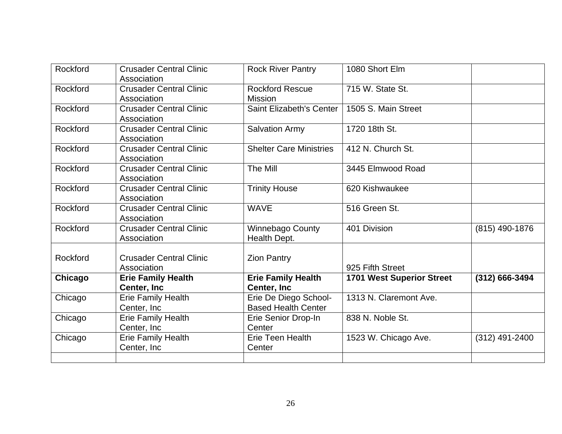| Rockford | <b>Crusader Central Clinic</b><br>Association | <b>Rock River Pantry</b>                            | 1080 Short Elm                   |                  |
|----------|-----------------------------------------------|-----------------------------------------------------|----------------------------------|------------------|
| Rockford | <b>Crusader Central Clinic</b><br>Association | <b>Rockford Rescue</b><br><b>Mission</b>            | 715 W. State St.                 |                  |
| Rockford | <b>Crusader Central Clinic</b><br>Association | Saint Elizabeth's Center                            | 1505 S. Main Street              |                  |
| Rockford | <b>Crusader Central Clinic</b><br>Association | <b>Salvation Army</b>                               | 1720 18th St.                    |                  |
| Rockford | <b>Crusader Central Clinic</b><br>Association | <b>Shelter Care Ministries</b>                      | 412 N. Church St.                |                  |
| Rockford | <b>Crusader Central Clinic</b><br>Association | The Mill                                            | 3445 Elmwood Road                |                  |
| Rockford | <b>Crusader Central Clinic</b><br>Association | <b>Trinity House</b>                                | 620 Kishwaukee                   |                  |
| Rockford | <b>Crusader Central Clinic</b><br>Association | <b>WAVE</b>                                         | 516 Green St.                    |                  |
| Rockford | <b>Crusader Central Clinic</b><br>Association | <b>Winnebago County</b><br>Health Dept.             | 401 Division                     | (815) 490-1876   |
| Rockford | <b>Crusader Central Clinic</b><br>Association | <b>Zion Pantry</b>                                  | 925 Fifth Street                 |                  |
| Chicago  | <b>Erie Family Health</b><br>Center, Inc.     | <b>Erie Family Health</b><br>Center, Inc            | <b>1701 West Superior Street</b> | (312) 666-3494   |
| Chicago  | <b>Erie Family Health</b><br>Center, Inc.     | Erie De Diego School-<br><b>Based Health Center</b> | 1313 N. Claremont Ave.           |                  |
| Chicago  | <b>Erie Family Health</b><br>Center, Inc.     | Erie Senior Drop-In<br>Center                       | 838 N. Noble St.                 |                  |
| Chicago  | <b>Erie Family Health</b><br>Center, Inc.     | Erie Teen Health<br>Center                          | 1523 W. Chicago Ave.             | $(312)$ 491-2400 |
|          |                                               |                                                     |                                  |                  |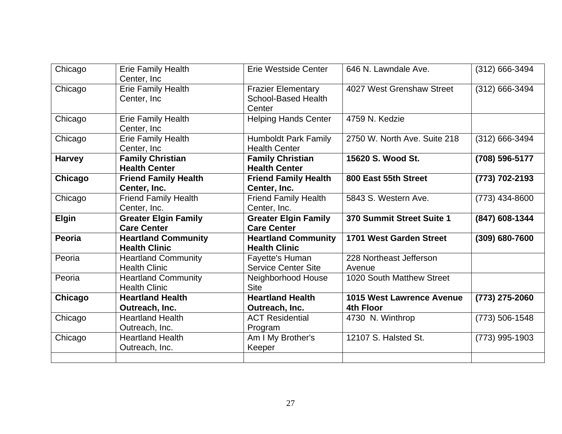| Chicago       | Erie Family Health<br>Center, Inc.                 | Erie Westside Center                                              | 646 N. Lawndale Ave.                          | (312) 666-3494 |
|---------------|----------------------------------------------------|-------------------------------------------------------------------|-----------------------------------------------|----------------|
| Chicago       | <b>Erie Family Health</b><br>Center, Inc.          | <b>Frazier Elementary</b><br><b>School-Based Health</b><br>Center | 4027 West Grenshaw Street                     | (312) 666-3494 |
| Chicago       | <b>Erie Family Health</b><br>Center, Inc.          | <b>Helping Hands Center</b>                                       | 4759 N. Kedzie                                |                |
| Chicago       | <b>Erie Family Health</b><br>Center, Inc.          | <b>Humboldt Park Family</b><br><b>Health Center</b>               | 2750 W. North Ave. Suite 218                  | (312) 666-3494 |
| <b>Harvey</b> | <b>Family Christian</b><br><b>Health Center</b>    | <b>Family Christian</b><br><b>Health Center</b>                   | 15620 S. Wood St.                             | (708) 596-5177 |
| Chicago       | <b>Friend Family Health</b><br>Center, Inc.        | <b>Friend Family Health</b><br>Center, Inc.                       | 800 East 55th Street                          | (773) 702-2193 |
| Chicago       | Friend Family Health<br>Center, Inc.               | <b>Friend Family Health</b><br>Center, Inc.                       | 5843 S. Western Ave.                          | (773) 434-8600 |
|               |                                                    |                                                                   |                                               |                |
| <b>Elgin</b>  | <b>Greater Elgin Family</b><br><b>Care Center</b>  | <b>Greater Elgin Family</b><br><b>Care Center</b>                 | 370 Summit Street Suite 1                     | (847) 608-1344 |
| Peoria        | <b>Heartland Community</b><br><b>Health Clinic</b> | <b>Heartland Community</b><br><b>Health Clinic</b>                | 1701 West Garden Street                       | (309) 680-7600 |
| Peoria        | <b>Heartland Community</b><br><b>Health Clinic</b> | Fayette's Human<br><b>Service Center Site</b>                     | 228 Northeast Jefferson<br>Avenue             |                |
| Peoria        | <b>Heartland Community</b><br><b>Health Clinic</b> | Neighborhood House<br><b>Site</b>                                 | 1020 South Matthew Street                     |                |
| Chicago       | <b>Heartland Health</b><br>Outreach, Inc.          | <b>Heartland Health</b>                                           | <b>1015 West Lawrence Avenue</b><br>4th Floor | (773) 275-2060 |
| Chicago       | <b>Heartland Health</b><br>Outreach, Inc.          | Outreach, Inc.<br><b>ACT Residential</b>                          | 4730 N. Winthrop                              | (773) 506-1548 |
| Chicago       | <b>Heartland Health</b><br>Outreach, Inc.          | Program<br>Am I My Brother's<br>Keeper                            | 12107 S. Halsted St.                          | (773) 995-1903 |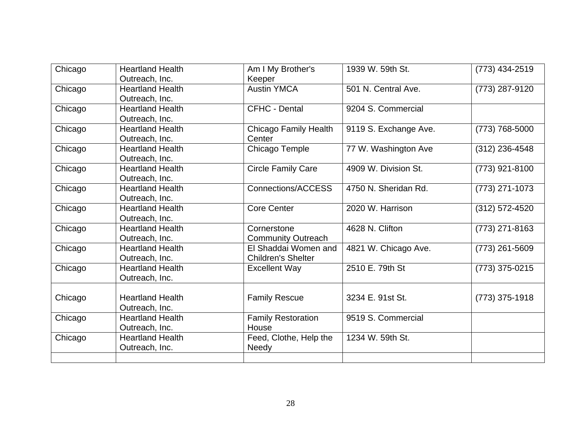| Chicago | <b>Heartland Health</b> | Am I My Brother's         | 1939 W. 59th St.      | $(773)$ 434-2519   |
|---------|-------------------------|---------------------------|-----------------------|--------------------|
|         | Outreach, Inc.          | Keeper                    |                       |                    |
| Chicago | <b>Heartland Health</b> | <b>Austin YMCA</b>        | 501 N. Central Ave.   | (773) 287-9120     |
|         | Outreach, Inc.          |                           |                       |                    |
| Chicago | <b>Heartland Health</b> | <b>CFHC - Dental</b>      | 9204 S. Commercial    |                    |
|         | Outreach, Inc.          |                           |                       |                    |
| Chicago | <b>Heartland Health</b> | Chicago Family Health     | 9119 S. Exchange Ave. | (773) 768-5000     |
|         | Outreach, Inc.          | Center                    |                       |                    |
| Chicago | <b>Heartland Health</b> | Chicago Temple            | 77 W. Washington Ave  | $(312)$ 236-4548   |
|         | Outreach, Inc.          |                           |                       |                    |
| Chicago | <b>Heartland Health</b> | <b>Circle Family Care</b> | 4909 W. Division St.  | (773) 921-8100     |
|         | Outreach, Inc.          |                           |                       |                    |
| Chicago | <b>Heartland Health</b> | Connections/ACCESS        | 4750 N. Sheridan Rd.  | $(773)$ 271-1073   |
|         | Outreach, Inc.          |                           |                       |                    |
| Chicago | <b>Heartland Health</b> | <b>Core Center</b>        | 2020 W. Harrison      | $(312) 572 - 4520$ |
|         | Outreach, Inc.          |                           |                       |                    |
| Chicago | <b>Heartland Health</b> | Cornerstone               | 4628 N. Clifton       | (773) 271-8163     |
|         | Outreach, Inc.          | <b>Community Outreach</b> |                       |                    |
| Chicago | <b>Heartland Health</b> | El Shaddai Women and      | 4821 W. Chicago Ave.  | $(773)$ 261-5609   |
|         | Outreach, Inc.          | <b>Children's Shelter</b> |                       |                    |
| Chicago | <b>Heartland Health</b> | <b>Excellent Way</b>      | 2510 E. 79th St       | (773) 375-0215     |
|         | Outreach, Inc.          |                           |                       |                    |
|         |                         |                           |                       |                    |
| Chicago | <b>Heartland Health</b> | <b>Family Rescue</b>      | 3234 E. 91st St.      | (773) 375-1918     |
|         | Outreach, Inc.          |                           |                       |                    |
| Chicago | <b>Heartland Health</b> | <b>Family Restoration</b> | 9519 S. Commercial    |                    |
|         | Outreach, Inc.          | House                     |                       |                    |
| Chicago | <b>Heartland Health</b> | Feed, Clothe, Help the    | 1234 W. 59th St.      |                    |
|         | Outreach, Inc.          | <b>Needy</b>              |                       |                    |
|         |                         |                           |                       |                    |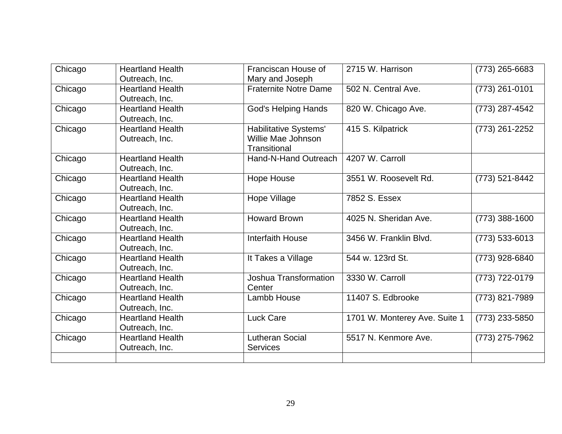| Chicago | <b>Heartland Health</b> | Franciscan House of          | 2715 W. Harrison              | (773) 265-6683     |
|---------|-------------------------|------------------------------|-------------------------------|--------------------|
|         | Outreach, Inc.          | Mary and Joseph              |                               |                    |
| Chicago | <b>Heartland Health</b> | <b>Fraternite Notre Dame</b> | 502 N. Central Ave.           | (773) 261-0101     |
|         | Outreach, Inc.          |                              |                               |                    |
| Chicago | <b>Heartland Health</b> | <b>God's Helping Hands</b>   | 820 W. Chicago Ave.           | (773) 287-4542     |
|         | Outreach, Inc.          |                              |                               |                    |
| Chicago | <b>Heartland Health</b> | Habilitative Systems'        | 415 S. Kilpatrick             | (773) 261-2252     |
|         | Outreach, Inc.          | Willie Mae Johnson           |                               |                    |
|         |                         | Transitional                 |                               |                    |
| Chicago | <b>Heartland Health</b> | Hand-N-Hand Outreach         | 4207 W. Carroll               |                    |
|         | Outreach, Inc.          |                              |                               |                    |
| Chicago | <b>Heartland Health</b> | <b>Hope House</b>            | 3551 W. Roosevelt Rd.         | (773) 521-8442     |
|         | Outreach, Inc.          |                              |                               |                    |
| Chicago | <b>Heartland Health</b> | Hope Village                 | 7852 S. Essex                 |                    |
|         | Outreach, Inc.          |                              |                               |                    |
| Chicago | <b>Heartland Health</b> | <b>Howard Brown</b>          | 4025 N. Sheridan Ave.         | (773) 388-1600     |
|         | Outreach, Inc.          |                              |                               |                    |
| Chicago | <b>Heartland Health</b> | Interfaith House             | 3456 W. Franklin Blvd.        | $(773) 533 - 6013$ |
|         | Outreach, Inc.          |                              |                               |                    |
| Chicago | <b>Heartland Health</b> | It Takes a Village           | 544 w. 123rd St.              | (773) 928-6840     |
|         | Outreach, Inc.          |                              |                               |                    |
| Chicago | <b>Heartland Health</b> | Joshua Transformation        | 3330 W. Carroll               | (773) 722-0179     |
|         | Outreach, Inc.          | Center                       |                               |                    |
| Chicago | <b>Heartland Health</b> | Lambb House                  | 11407 S. Edbrooke             | (773) 821-7989     |
|         | Outreach, Inc.          |                              |                               |                    |
| Chicago | <b>Heartland Health</b> | <b>Luck Care</b>             | 1701 W. Monterey Ave. Suite 1 | (773) 233-5850     |
|         | Outreach, Inc.          |                              |                               |                    |
| Chicago | <b>Heartland Health</b> | <b>Lutheran Social</b>       | 5517 N. Kenmore Ave.          | (773) 275-7962     |
|         | Outreach, Inc.          | <b>Services</b>              |                               |                    |
|         |                         |                              |                               |                    |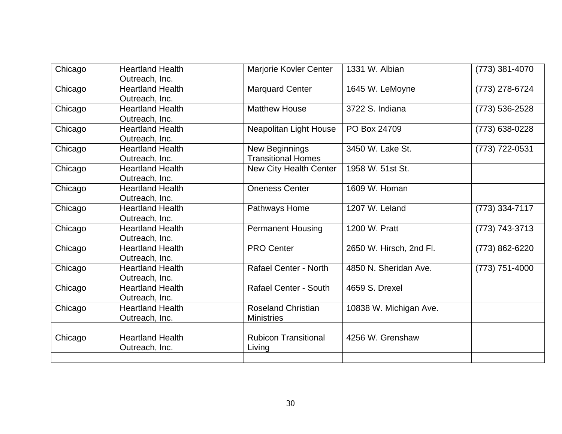| Chicago | <b>Heartland Health</b><br>Outreach, Inc. | Marjorie Kovler Center                         | 1331 W. Albian          | $(773)$ 381-4070 |
|---------|-------------------------------------------|------------------------------------------------|-------------------------|------------------|
| Chicago | <b>Heartland Health</b><br>Outreach, Inc. | <b>Marquard Center</b>                         | 1645 W. LeMoyne         | (773) 278-6724   |
| Chicago | <b>Heartland Health</b><br>Outreach, Inc. | <b>Matthew House</b>                           | 3722 S. Indiana         | (773) 536-2528   |
| Chicago | <b>Heartland Health</b><br>Outreach, Inc. | Neapolitan Light House                         | PO Box 24709            | (773) 638-0228   |
| Chicago | <b>Heartland Health</b><br>Outreach, Inc. | New Beginnings<br><b>Transitional Homes</b>    | 3450 W. Lake St.        | (773) 722-0531   |
| Chicago | <b>Heartland Health</b><br>Outreach, Inc. | New City Health Center                         | 1958 W. 51st St.        |                  |
| Chicago | <b>Heartland Health</b><br>Outreach, Inc. | <b>Oneness Center</b>                          | 1609 W. Homan           |                  |
| Chicago | <b>Heartland Health</b><br>Outreach, Inc. | Pathways Home                                  | 1207 W. Leland          | (773) 334-7117   |
| Chicago | <b>Heartland Health</b><br>Outreach, Inc. | <b>Permanent Housing</b>                       | 1200 W. Pratt           | (773) 743-3713   |
| Chicago | <b>Heartland Health</b><br>Outreach, Inc. | <b>PRO Center</b>                              | 2650 W. Hirsch, 2nd Fl. | (773) 862-6220   |
| Chicago | <b>Heartland Health</b><br>Outreach, Inc. | <b>Rafael Center - North</b>                   | 4850 N. Sheridan Ave.   | (773) 751-4000   |
| Chicago | <b>Heartland Health</b><br>Outreach, Inc. | <b>Rafael Center - South</b>                   | 4659 S. Drexel          |                  |
| Chicago | <b>Heartland Health</b><br>Outreach, Inc. | <b>Roseland Christian</b><br><b>Ministries</b> | 10838 W. Michigan Ave.  |                  |
| Chicago | <b>Heartland Health</b><br>Outreach, Inc. | <b>Rubicon Transitional</b><br>Living          | 4256 W. Grenshaw        |                  |
|         |                                           |                                                |                         |                  |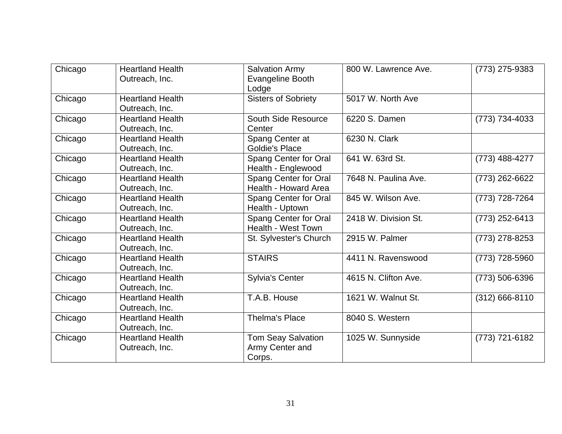| Chicago | <b>Heartland Health</b><br>Outreach, Inc. | <b>Salvation Army</b><br>Evangeline Booth<br>Lodge     | 800 W. Lawrence Ave. | (773) 275-9383     |
|---------|-------------------------------------------|--------------------------------------------------------|----------------------|--------------------|
| Chicago | <b>Heartland Health</b><br>Outreach, Inc. | <b>Sisters of Sobriety</b>                             | 5017 W. North Ave    |                    |
| Chicago | <b>Heartland Health</b><br>Outreach, Inc. | South Side Resource<br>Center                          | 6220 S. Damen        | (773) 734-4033     |
| Chicago | <b>Heartland Health</b><br>Outreach, Inc. | Spang Center at<br><b>Goldie's Place</b>               | 6230 N. Clark        |                    |
| Chicago | <b>Heartland Health</b><br>Outreach, Inc. | Spang Center for Oral<br>Health - Englewood            | 641 W. 63rd St.      | (773) 488-4277     |
| Chicago | <b>Heartland Health</b><br>Outreach, Inc. | Spang Center for Oral<br>Health - Howard Area          | 7648 N. Paulina Ave. | (773) 262-6622     |
| Chicago | <b>Heartland Health</b><br>Outreach, Inc. | Spang Center for Oral<br>Health - Uptown               | 845 W. Wilson Ave.   | (773) 728-7264     |
| Chicago | Heartland Health<br>Outreach, Inc.        | Spang Center for Oral<br>Health - West Town            | 2418 W. Division St. | (773) 252-6413     |
| Chicago | <b>Heartland Health</b><br>Outreach, Inc. | St. Sylvester's Church                                 | 2915 W. Palmer       | (773) 278-8253     |
| Chicago | <b>Heartland Health</b><br>Outreach, Inc. | <b>STAIRS</b>                                          | 4411 N. Ravenswood   | (773) 728-5960     |
| Chicago | <b>Heartland Health</b><br>Outreach, Inc. | <b>Sylvia's Center</b>                                 | 4615 N. Clifton Ave. | (773) 506-6396     |
| Chicago | <b>Heartland Health</b><br>Outreach, Inc. | T.A.B. House                                           | 1621 W. Walnut St.   | $(312) 666 - 8110$ |
| Chicago | <b>Heartland Health</b><br>Outreach, Inc. | <b>Thelma's Place</b>                                  | 8040 S. Western      |                    |
| Chicago | <b>Heartland Health</b><br>Outreach, Inc. | <b>Tom Seay Salvation</b><br>Army Center and<br>Corps. | 1025 W. Sunnyside    | (773) 721-6182     |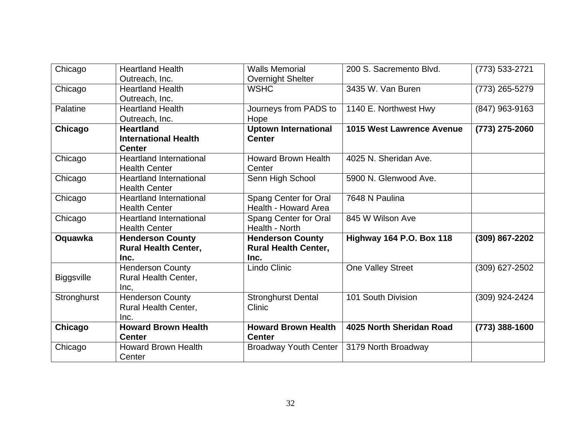| Chicago           | <b>Heartland Health</b>        | <b>Walls Memorial</b>       | 200 S. Sacremento Blvd.          | (773) 533-2721 |
|-------------------|--------------------------------|-----------------------------|----------------------------------|----------------|
|                   | Outreach, Inc.                 | <b>Overnight Shelter</b>    |                                  |                |
| Chicago           | <b>Heartland Health</b>        | <b>WSHC</b>                 | 3435 W. Van Buren                | (773) 265-5279 |
|                   | Outreach, Inc.                 |                             |                                  |                |
| Palatine          | <b>Heartland Health</b>        | Journeys from PADS to       | 1140 E. Northwest Hwy            | (847) 963-9163 |
|                   | Outreach, Inc.                 | Hope                        |                                  |                |
| Chicago           | <b>Heartland</b>               | <b>Uptown International</b> | <b>1015 West Lawrence Avenue</b> | (773) 275-2060 |
|                   | <b>International Health</b>    | <b>Center</b>               |                                  |                |
|                   | <b>Center</b>                  |                             |                                  |                |
| Chicago           | <b>Heartland International</b> | <b>Howard Brown Health</b>  | 4025 N. Sheridan Ave.            |                |
|                   | <b>Health Center</b>           | Center                      |                                  |                |
| Chicago           | <b>Heartland International</b> | Senn High School            | 5900 N. Glenwood Ave.            |                |
|                   | <b>Health Center</b>           |                             |                                  |                |
| Chicago           | <b>Heartland International</b> | Spang Center for Oral       | 7648 N Paulina                   |                |
|                   | <b>Health Center</b>           | Health - Howard Area        |                                  |                |
| Chicago           | <b>Heartland International</b> | Spang Center for Oral       | 845 W Wilson Ave                 |                |
|                   | <b>Health Center</b>           | Health - North              |                                  |                |
| Oquawka           | <b>Henderson County</b>        | <b>Henderson County</b>     | <b>Highway 164 P.O. Box 118</b>  | (309) 867-2202 |
|                   | <b>Rural Health Center,</b>    | <b>Rural Health Center,</b> |                                  |                |
|                   | Inc.                           | Inc.                        |                                  |                |
|                   | <b>Henderson County</b>        | Lindo Clinic                | One Valley Street                | (309) 627-2502 |
| <b>Biggsville</b> | Rural Health Center,           |                             |                                  |                |
|                   | Inc,                           |                             |                                  |                |
| Stronghurst       | <b>Henderson County</b>        | <b>Stronghurst Dental</b>   | 101 South Division               | (309) 924-2424 |
|                   | Rural Health Center,           | Clinic                      |                                  |                |
|                   | Inc.                           |                             |                                  |                |
| Chicago           | <b>Howard Brown Health</b>     | <b>Howard Brown Health</b>  | 4025 North Sheridan Road         | (773) 388-1600 |
|                   | <b>Center</b>                  | <b>Center</b>               |                                  |                |
| Chicago           | <b>Howard Brown Health</b>     | Broadway Youth Center       | 3179 North Broadway              |                |
|                   | Center                         |                             |                                  |                |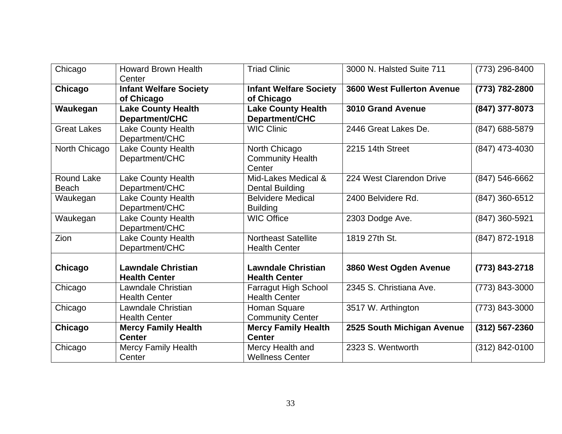| Chicago                           | <b>Howard Brown Health</b><br>Center               | <b>Triad Clinic</b>                                 | 3000 N. Halsted Suite 711         | (773) 296-8400 |
|-----------------------------------|----------------------------------------------------|-----------------------------------------------------|-----------------------------------|----------------|
| Chicago                           | <b>Infant Welfare Society</b><br>of Chicago        | <b>Infant Welfare Society</b><br>of Chicago         | <b>3600 West Fullerton Avenue</b> | (773) 782-2800 |
| Waukegan                          | <b>Lake County Health</b><br><b>Department/CHC</b> | <b>Lake County Health</b><br><b>Department/CHC</b>  | <b>3010 Grand Avenue</b>          | (847) 377-8073 |
| <b>Great Lakes</b>                | Lake County Health<br>Department/CHC               | <b>WIC Clinic</b>                                   | 2446 Great Lakes De.              | (847) 688-5879 |
| North Chicago                     | Lake County Health<br>Department/CHC               | North Chicago<br><b>Community Health</b><br>Center  | 2215 14th Street                  | (847) 473-4030 |
| <b>Round Lake</b><br><b>Beach</b> | Lake County Health<br>Department/CHC               | Mid-Lakes Medical &<br>Dental Building              | 224 West Clarendon Drive          | (847) 546-6662 |
| Waukegan                          | Lake County Health<br>Department/CHC               | <b>Belvidere Medical</b><br><b>Building</b>         | 2400 Belvidere Rd.                | (847) 360-6512 |
| Waukegan                          | Lake County Health<br>Department/CHC               | <b>WIC Office</b>                                   | 2303 Dodge Ave.                   | (847) 360-5921 |
| Zion                              | Lake County Health<br>Department/CHC               | <b>Northeast Satellite</b><br><b>Health Center</b>  | 1819 27th St.                     | (847) 872-1918 |
| Chicago                           | <b>Lawndale Christian</b><br><b>Health Center</b>  | <b>Lawndale Christian</b><br><b>Health Center</b>   | 3860 West Ogden Avenue            | (773) 843-2718 |
| Chicago                           | Lawndale Christian<br><b>Health Center</b>         | <b>Farragut High School</b><br><b>Health Center</b> | 2345 S. Christiana Ave.           | (773) 843-3000 |
| Chicago                           | Lawndale Christian<br><b>Health Center</b>         | Homan Square<br><b>Community Center</b>             | 3517 W. Arthington                | (773) 843-3000 |
| Chicago                           | <b>Mercy Family Health</b><br><b>Center</b>        | <b>Mercy Family Health</b><br><b>Center</b>         | 2525 South Michigan Avenue        | (312) 567-2360 |
| Chicago                           | Mercy Family Health<br>Center                      | Mercy Health and<br><b>Wellness Center</b>          | 2323 S. Wentworth                 | (312) 842-0100 |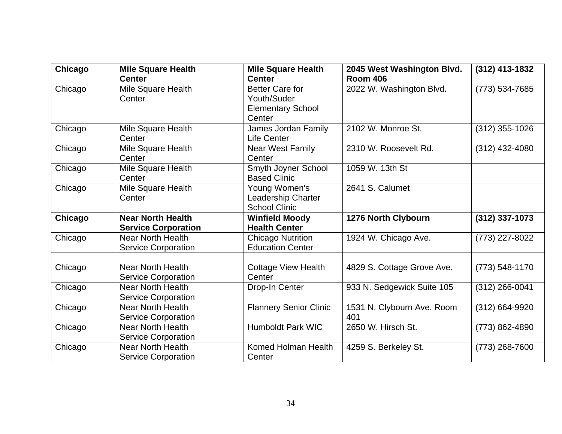| Chicago | <b>Mile Square Health</b>  | <b>Mile Square Health</b>     | 2045 West Washington Blvd. | (312) 413-1832     |
|---------|----------------------------|-------------------------------|----------------------------|--------------------|
|         | <b>Center</b>              | <b>Center</b>                 | <b>Room 406</b>            |                    |
| Chicago | Mile Square Health         | <b>Better Care for</b>        | 2022 W. Washington Blvd.   | (773) 534-7685     |
|         | Center                     | Youth/Suder                   |                            |                    |
|         |                            | <b>Elementary School</b>      |                            |                    |
|         |                            | Center                        |                            |                    |
| Chicago | Mile Square Health         | James Jordan Family           | 2102 W. Monroe St.         | (312) 355-1026     |
|         | Center                     | <b>Life Center</b>            |                            |                    |
| Chicago | Mile Square Health         | <b>Near West Family</b>       | 2310 W. Roosevelt Rd.      | (312) 432-4080     |
|         | Center                     | Center                        |                            |                    |
| Chicago | Mile Square Health         | Smyth Joyner School           | 1059 W. 13th St            |                    |
|         | Center                     | <b>Based Clinic</b>           |                            |                    |
| Chicago | Mile Square Health         | Young Women's                 | 2641 S. Calumet            |                    |
|         | Center                     | Leadership Charter            |                            |                    |
|         |                            | <b>School Clinic</b>          |                            |                    |
| Chicago | <b>Near North Health</b>   | <b>Winfield Moody</b>         | 1276 North Clybourn        | (312) 337-1073     |
|         | <b>Service Corporation</b> | <b>Health Center</b>          |                            |                    |
| Chicago | <b>Near North Health</b>   | <b>Chicago Nutrition</b>      | 1924 W. Chicago Ave.       | (773) 227-8022     |
|         | <b>Service Corporation</b> | <b>Education Center</b>       |                            |                    |
|         |                            |                               |                            |                    |
| Chicago | <b>Near North Health</b>   | <b>Cottage View Health</b>    | 4829 S. Cottage Grove Ave. | $(773) 548 - 1170$ |
|         | <b>Service Corporation</b> | Center                        |                            |                    |
| Chicago | <b>Near North Health</b>   | Drop-In Center                | 933 N. Sedgewick Suite 105 | (312) 266-0041     |
|         | <b>Service Corporation</b> |                               |                            |                    |
| Chicago | <b>Near North Health</b>   | <b>Flannery Senior Clinic</b> | 1531 N. Clybourn Ave. Room | (312) 664-9920     |
|         | <b>Service Corporation</b> |                               | 401                        |                    |
| Chicago | <b>Near North Health</b>   | <b>Humboldt Park WIC</b>      | 2650 W. Hirsch St.         | (773) 862-4890     |
|         | <b>Service Corporation</b> |                               |                            |                    |
| Chicago | <b>Near North Health</b>   | <b>Komed Holman Health</b>    | 4259 S. Berkeley St.       | $(773)$ 268-7600   |
|         | <b>Service Corporation</b> | Center                        |                            |                    |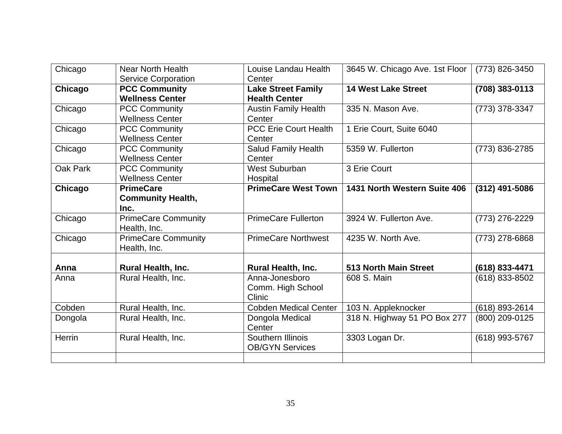| Chicago  | <b>Near North Health</b>   | Louise Landau Health         | 3645 W. Chicago Ave. 1st Floor | (773) 826-3450 |
|----------|----------------------------|------------------------------|--------------------------------|----------------|
|          | <b>Service Corporation</b> | Center                       |                                |                |
| Chicago  | <b>PCC Community</b>       | <b>Lake Street Family</b>    | <b>14 West Lake Street</b>     | (708) 383-0113 |
|          | <b>Wellness Center</b>     | <b>Health Center</b>         |                                |                |
| Chicago  | <b>PCC Community</b>       | <b>Austin Family Health</b>  | 335 N. Mason Ave.              | (773) 378-3347 |
|          | <b>Wellness Center</b>     | Center                       |                                |                |
| Chicago  | <b>PCC Community</b>       | <b>PCC Erie Court Health</b> | 1 Erie Court, Suite 6040       |                |
|          | <b>Wellness Center</b>     | Center                       |                                |                |
| Chicago  | <b>PCC Community</b>       | Salud Family Health          | 5359 W. Fullerton              | (773) 836-2785 |
|          | <b>Wellness Center</b>     | Center                       |                                |                |
| Oak Park | <b>PCC Community</b>       | <b>West Suburban</b>         | 3 Erie Court                   |                |
|          | <b>Wellness Center</b>     | Hospital                     |                                |                |
| Chicago  | <b>PrimeCare</b>           | <b>PrimeCare West Town</b>   | 1431 North Western Suite 406   | (312) 491-5086 |
|          | <b>Community Health,</b>   |                              |                                |                |
|          | Inc.                       |                              |                                |                |
| Chicago  | <b>PrimeCare Community</b> | <b>PrimeCare Fullerton</b>   | 3924 W. Fullerton Ave.         | (773) 276-2229 |
|          | Health, Inc.               |                              |                                |                |
| Chicago  | <b>PrimeCare Community</b> | <b>PrimeCare Northwest</b>   | 4235 W. North Ave.             | (773) 278-6868 |
|          | Health, Inc.               |                              |                                |                |
|          |                            |                              |                                |                |
| Anna     | <b>Rural Health, Inc.</b>  | <b>Rural Health, Inc.</b>    | <b>513 North Main Street</b>   | (618) 833-4471 |
| Anna     | Rural Health, Inc.         | Anna-Jonesboro               | 608 S. Main                    | (618) 833-8502 |
|          |                            | Comm. High School            |                                |                |
|          |                            | Clinic                       |                                |                |
| Cobden   | Rural Health, Inc.         | <b>Cobden Medical Center</b> | 103 N. Appleknocker            | (618) 893-2614 |
| Dongola  | Rural Health, Inc.         | Dongola Medical              | 318 N. Highway 51 PO Box 277   | (800) 209-0125 |
|          |                            | Center                       |                                |                |
| Herrin   | Rural Health, Inc.         | Southern Illinois            | 3303 Logan Dr.                 | (618) 993-5767 |
|          |                            | <b>OB/GYN Services</b>       |                                |                |
|          |                            |                              |                                |                |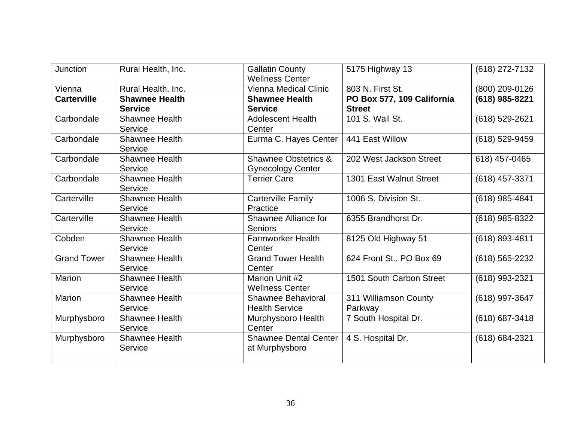| Junction           | Rural Health, Inc.    | <b>Gallatin County</b><br><b>Wellness Center</b> | 5175 Highway 13            | (618) 272-7132 |
|--------------------|-----------------------|--------------------------------------------------|----------------------------|----------------|
| Vienna             | Rural Health, Inc.    | Vienna Medical Clinic                            | 803 N. First St.           | (800) 209-0126 |
| <b>Carterville</b> | <b>Shawnee Health</b> | <b>Shawnee Health</b>                            | PO Box 577, 109 California | (618) 985-8221 |
|                    | <b>Service</b>        | <b>Service</b>                                   | <b>Street</b>              |                |
| Carbondale         | <b>Shawnee Health</b> | <b>Adolescent Health</b>                         | 101 S. Wall St.            | (618) 529-2621 |
|                    | Service               | Center                                           |                            |                |
| Carbondale         | <b>Shawnee Health</b> | Eurma C. Hayes Center                            | 441 East Willow            | (618) 529-9459 |
|                    | Service               |                                                  |                            |                |
| Carbondale         | <b>Shawnee Health</b> | Shawnee Obstetrics &                             | 202 West Jackson Street    | 618) 457-0465  |
|                    | Service               | <b>Gynecology Center</b>                         |                            |                |
| Carbondale         | <b>Shawnee Health</b> | <b>Terrier Care</b>                              | 1301 East Walnut Street    | (618) 457-3371 |
|                    | Service               |                                                  |                            |                |
| Carterville        | <b>Shawnee Health</b> | <b>Carterville Family</b>                        | 1006 S. Division St.       | (618) 985-4841 |
|                    | Service               | Practice                                         |                            |                |
| Carterville        | <b>Shawnee Health</b> | Shawnee Alliance for                             | 6355 Brandhorst Dr.        | (618) 985-8322 |
|                    | Service               | <b>Seniors</b>                                   |                            |                |
| Cobden             | <b>Shawnee Health</b> | <b>Farmworker Health</b>                         | 8125 Old Highway 51        | (618) 893-4811 |
|                    | Service               | Center                                           |                            |                |
| <b>Grand Tower</b> | <b>Shawnee Health</b> | <b>Grand Tower Health</b>                        | 624 Front St., PO Box 69   | (618) 565-2232 |
|                    | Service               | Center                                           |                            |                |
| Marion             | <b>Shawnee Health</b> | Marion Unit #2                                   | 1501 South Carbon Street   | (618) 993-2321 |
|                    | Service               | <b>Wellness Center</b>                           |                            |                |
| <b>Marion</b>      | <b>Shawnee Health</b> | Shawnee Behavioral                               | 311 Williamson County      | (618) 997-3647 |
|                    | Service               | <b>Health Service</b>                            | Parkway                    |                |
| Murphysboro        | <b>Shawnee Health</b> | Murphysboro Health                               | 7 South Hospital Dr.       | (618) 687-3418 |
|                    | Service               | Center                                           |                            |                |
| Murphysboro        | <b>Shawnee Health</b> | <b>Shawnee Dental Center</b>                     | 4 S. Hospital Dr.          | (618) 684-2321 |
|                    | Service               | at Murphysboro                                   |                            |                |
|                    |                       |                                                  |                            |                |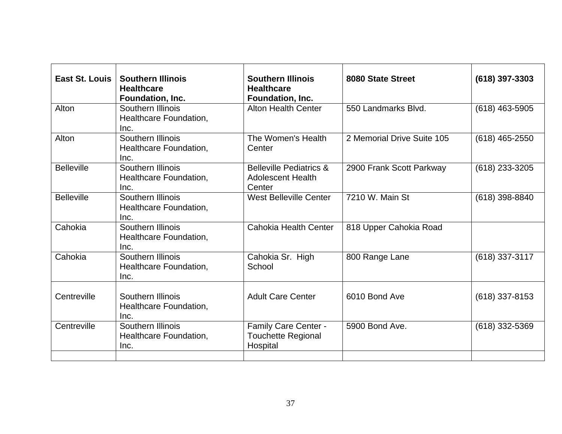| East St. Louis    | <b>Southern Illinois</b><br><b>Healthcare</b><br>Foundation, Inc. | <b>Southern Illinois</b><br><b>Healthcare</b><br>Foundation, Inc.        | 8080 State Street          | $(618)$ 397-3303 |
|-------------------|-------------------------------------------------------------------|--------------------------------------------------------------------------|----------------------------|------------------|
| Alton             | Southern Illinois<br>Healthcare Foundation,<br>Inc.               | <b>Alton Health Center</b>                                               | 550 Landmarks Blvd.        | $(618)$ 463-5905 |
| Alton             | Southern Illinois<br>Healthcare Foundation,<br>Inc.               | The Women's Health<br>Center                                             | 2 Memorial Drive Suite 105 | $(618)$ 465-2550 |
| <b>Belleville</b> | Southern Illinois<br>Healthcare Foundation,<br>Inc.               | <b>Belleville Pediatrics &amp;</b><br><b>Adolescent Health</b><br>Center | 2900 Frank Scott Parkway   | (618) 233-3205   |
| <b>Belleville</b> | Southern Illinois<br>Healthcare Foundation,<br>Inc.               | <b>West Belleville Center</b>                                            | 7210 W. Main St            | $(618)$ 398-8840 |
| Cahokia           | Southern Illinois<br>Healthcare Foundation,<br>Inc.               | <b>Cahokia Health Center</b>                                             | 818 Upper Cahokia Road     |                  |
| Cahokia           | Southern Illinois<br>Healthcare Foundation,<br>Inc.               | Cahokia Sr. High<br>School                                               | 800 Range Lane             | (618) 337-3117   |
| Centreville       | Southern Illinois<br>Healthcare Foundation,<br>Inc.               | <b>Adult Care Center</b>                                                 | 6010 Bond Ave              | $(618)$ 337-8153 |
| Centreville       | Southern Illinois<br>Healthcare Foundation,<br>Inc.               | Family Care Center -<br><b>Touchette Regional</b><br>Hospital            | 5900 Bond Ave.             | $(618)$ 332-5369 |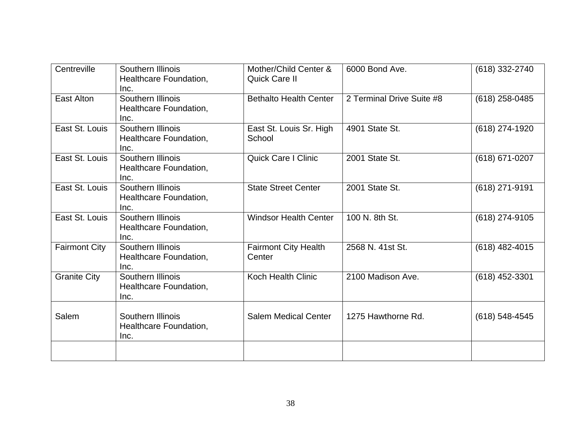| Centreville          | Southern Illinois<br>Healthcare Foundation,<br>Inc. | Mother/Child Center &<br>Quick Care II | 6000 Bond Ave.            | (618) 332-2740     |
|----------------------|-----------------------------------------------------|----------------------------------------|---------------------------|--------------------|
| East Alton           | Southern Illinois<br>Healthcare Foundation,<br>Inc. | <b>Bethalto Health Center</b>          | 2 Terminal Drive Suite #8 | $(618)$ 258-0485   |
| East St. Louis       | Southern Illinois<br>Healthcare Foundation,<br>Inc. | East St. Louis Sr. High<br>School      | 4901 State St.            | (618) 274-1920     |
| East St. Louis       | Southern Illinois<br>Healthcare Foundation,<br>Inc. | <b>Quick Care I Clinic</b>             | 2001 State St.            | (618) 671-0207     |
| East St. Louis       | Southern Illinois<br>Healthcare Foundation,<br>Inc. | <b>State Street Center</b>             | 2001 State St.            | (618) 271-9191     |
| East St. Louis       | Southern Illinois<br>Healthcare Foundation,<br>Inc. | <b>Windsor Health Center</b>           | 100 N. 8th St.            | (618) 274-9105     |
| <b>Fairmont City</b> | Southern Illinois<br>Healthcare Foundation,<br>Inc. | <b>Fairmont City Health</b><br>Center  | 2568 N. 41st St.          | $(618)$ 482-4015   |
| <b>Granite City</b>  | Southern Illinois<br>Healthcare Foundation,<br>Inc. | <b>Koch Health Clinic</b>              | 2100 Madison Ave.         | $(618)$ 452-3301   |
| Salem                | Southern Illinois<br>Healthcare Foundation,<br>Inc. | <b>Salem Medical Center</b>            | 1275 Hawthorne Rd.        | $(618) 548 - 4545$ |
|                      |                                                     |                                        |                           |                    |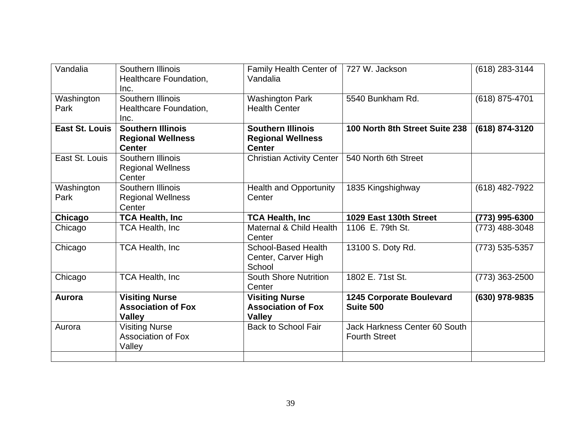| Vandalia           | Southern Illinois<br>Healthcare Foundation,<br>Inc.                   | Family Health Center of<br>Vandalia                                   | 727 W. Jackson                                        | (618) 283-3144   |
|--------------------|-----------------------------------------------------------------------|-----------------------------------------------------------------------|-------------------------------------------------------|------------------|
| Washington<br>Park | Southern Illinois<br>Healthcare Foundation,<br>Inc.                   | <b>Washington Park</b><br><b>Health Center</b>                        | 5540 Bunkham Rd.                                      | (618) 875-4701   |
| East St. Louis     | <b>Southern Illinois</b><br><b>Regional Wellness</b><br><b>Center</b> | <b>Southern Illinois</b><br><b>Regional Wellness</b><br><b>Center</b> | 100 North 8th Street Suite 238                        | (618) 874-3120   |
| East St. Louis     | Southern Illinois<br><b>Regional Wellness</b><br>Center               | Christian Activity Center                                             | 540 North 6th Street                                  |                  |
| Washington<br>Park | Southern Illinois<br><b>Regional Wellness</b><br>Center               | <b>Health and Opportunity</b><br>Center                               | 1835 Kingshighway                                     | (618) 482-7922   |
|                    |                                                                       |                                                                       |                                                       |                  |
| Chicago            | <b>TCA Health, Inc</b>                                                | <b>TCA Health, Inc.</b>                                               | 1029 East 130th Street                                | (773) 995-6300   |
| Chicago            | <b>TCA Health, Inc</b>                                                | Maternal & Child Health<br>Center                                     | 1106 E. 79th St.                                      | (773) 488-3048   |
| Chicago            | <b>TCA Health, Inc</b>                                                | <b>School-Based Health</b><br>Center, Carver High<br>School           | 13100 S. Doty Rd.                                     | $(773)$ 535-5357 |
| Chicago            | <b>TCA Health, Inc</b>                                                | <b>South Shore Nutrition</b><br>Center                                | 1802 E. 71st St.                                      | (773) 363-2500   |
| Aurora             | <b>Visiting Nurse</b><br><b>Association of Fox</b><br><b>Valley</b>   | <b>Visiting Nurse</b><br><b>Association of Fox</b><br><b>Valley</b>   | <b>1245 Corporate Boulevard</b><br>Suite 500          | (630) 978-9835   |
| Aurora             | <b>Visiting Nurse</b><br><b>Association of Fox</b><br>Valley          | <b>Back to School Fair</b>                                            | Jack Harkness Center 60 South<br><b>Fourth Street</b> |                  |